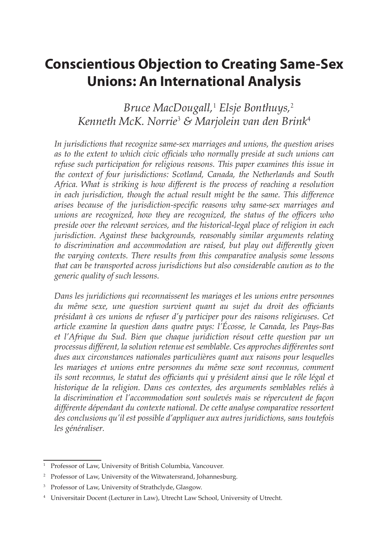# **Conscientious Objection to Creating Same-Sex Unions: An International Analysis**

# *Bruce MacDougall,*<sup>1</sup> *Elsje Bonthuys,*<sup>2</sup> *Kenneth McK. Norrie*<sup>3</sup> *& Marjolein van den Brink*<sup>4</sup>

*In jurisdictions that recognize same-sex marriages and unions, the question arises as to the extent to which civic officials who normally preside at such unions can refuse such participation for religious reasons. This paper examines this issue in the context of four jurisdictions: Scotland, Canada, the Netherlands and South Africa. What is striking is how different is the process of reaching a resolution in each jurisdiction, though the actual result might be the same. This difference arises because of the jurisdiction-specific reasons why same-sex marriages and unions are recognized, how they are recognized, the status of the officers who preside over the relevant services, and the historical-legal place of religion in each jurisdiction. Against these backgrounds, reasonably similar arguments relating to discrimination and accommodation are raised, but play out differently given the varying contexts. There results from this comparative analysis some lessons that can be transported across jurisdictions but also considerable caution as to the generic quality of such lessons.*

*Dans les juridictions qui reconnaissent les mariages et les unions entre personnes du même sexe, une question survient quant au sujet du droit des officiants présidant à ces unions de refuser d'y participer pour des raisons religieuses. Cet article examine la question dans quatre pays: l'Écosse, le Canada, les Pays-Bas et l'Afrique du Sud. Bien que chaque juridiction résout cette question par un processus différent, la solution retenue est semblable. Ces approches différentes sont dues aux circonstances nationales particulières quant aux raisons pour lesquelles les mariages et unions entre personnes du même sexe sont reconnus, comment ils sont reconnus, le statut des officiants qui y président ainsi que le rôle légal et historique de la religion. Dans ces contextes, des arguments semblables reliés à la discrimination et l'accommodation sont soulevés mais se répercutent de façon différente dépendant du contexte national. De cette analyse comparative ressortent des conclusions qu'il est possible d'appliquer aux autres juridictions, sans toutefois les généraliser.*

<sup>&</sup>lt;sup>1</sup> Professor of Law, University of British Columbia, Vancouver.

<sup>&</sup>lt;sup>2</sup> Professor of Law, University of the Witwatersrand, Johannesburg.

Professor of Law, University of Strathclyde, Glasgow.

<sup>4</sup> Universitair Docent (Lecturer in Law), Utrecht Law School, University of Utrecht.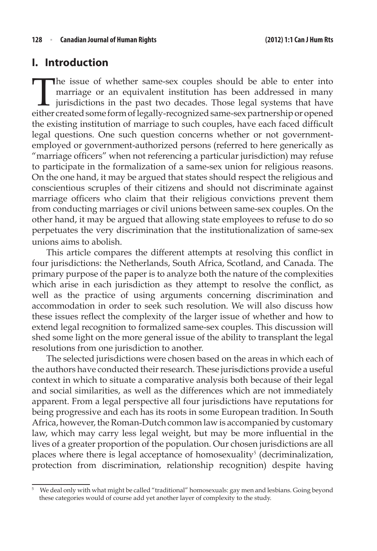#### **I. Introduction**

The issue of whether same-sex couples should be able to enter into<br>marriage or an equivalent institution has been addressed in many<br>jurisdictions in the past two decades. Those legal systems that have<br>either created some f marriage or an equivalent institution has been addressed in many jurisdictions in the past two decades. Those legal systems that have either created some form of legally-recognized same-sex partnership or opened the existing institution of marriage to such couples, have each faced difficult legal questions. One such question concerns whether or not governmentemployed or government-authorized persons (referred to here generically as "marriage officers" when not referencing a particular jurisdiction) may refuse to participate in the formalization of a same-sex union for religious reasons. On the one hand, it may be argued that states should respect the religious and conscientious scruples of their citizens and should not discriminate against marriage officers who claim that their religious convictions prevent them from conducting marriages or civil unions between same-sex couples. On the other hand, it may be argued that allowing state employees to refuse to do so perpetuates the very discrimination that the institutionalization of same-sex unions aims to abolish.

This article compares the different attempts at resolving this conflict in four jurisdictions: the Netherlands, South Africa, Scotland, and Canada. The primary purpose of the paper is to analyze both the nature of the complexities which arise in each jurisdiction as they attempt to resolve the conflict, as well as the practice of using arguments concerning discrimination and accommodation in order to seek such resolution. We will also discuss how these issues reflect the complexity of the larger issue of whether and how to extend legal recognition to formalized same-sex couples. This discussion will shed some light on the more general issue of the ability to transplant the legal resolutions from one jurisdiction to another.

The selected jurisdictions were chosen based on the areas in which each of the authors have conducted their research. These jurisdictions provide a useful context in which to situate a comparative analysis both because of their legal and social similarities, as well as the differences which are not immediately apparent. From a legal perspective all four jurisdictions have reputations for being progressive and each has its roots in some European tradition. In South Africa, however, the Roman-Dutch common law is accompanied by customary law, which may carry less legal weight, but may be more influential in the lives of a greater proportion of the population. Our chosen jurisdictions are all places where there is legal acceptance of homosexuality<sup>5</sup> (decriminalization, protection from discrimination, relationship recognition) despite having

<sup>5</sup> We deal only with what might be called "traditional" homosexuals: gay men and lesbians. Going beyond these categories would of course add yet another layer of complexity to the study.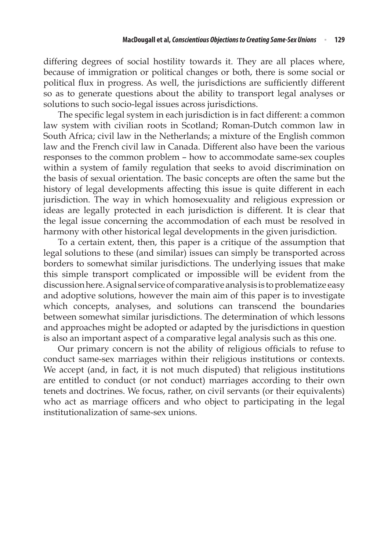differing degrees of social hostility towards it. They are all places where, because of immigration or political changes or both, there is some social or political flux in progress. As well, the jurisdictions are sufficiently different so as to generate questions about the ability to transport legal analyses or solutions to such socio-legal issues across jurisdictions.

The specific legal system in each jurisdiction is in fact different: a common law system with civilian roots in Scotland; Roman-Dutch common law in South Africa; civil law in the Netherlands; a mixture of the English common law and the French civil law in Canada. Different also have been the various responses to the common problem – how to accommodate same-sex couples within a system of family regulation that seeks to avoid discrimination on the basis of sexual orientation. The basic concepts are often the same but the history of legal developments affecting this issue is quite different in each jurisdiction. The way in which homosexuality and religious expression or ideas are legally protected in each jurisdiction is different. It is clear that the legal issue concerning the accommodation of each must be resolved in harmony with other historical legal developments in the given jurisdiction.

To a certain extent, then, this paper is a critique of the assumption that legal solutions to these (and similar) issues can simply be transported across borders to somewhat similar jurisdictions. The underlying issues that make this simple transport complicated or impossible will be evident from the discussion here. A signal service of comparative analysis is to problematize easy and adoptive solutions, however the main aim of this paper is to investigate which concepts, analyses, and solutions can transcend the boundaries between somewhat similar jurisdictions. The determination of which lessons and approaches might be adopted or adapted by the jurisdictions in question is also an important aspect of a comparative legal analysis such as this one.

Our primary concern is not the ability of religious officials to refuse to conduct same-sex marriages within their religious institutions or contexts. We accept (and, in fact, it is not much disputed) that religious institutions are entitled to conduct (or not conduct) marriages according to their own tenets and doctrines. We focus, rather, on civil servants (or their equivalents) who act as marriage officers and who object to participating in the legal institutionalization of same-sex unions.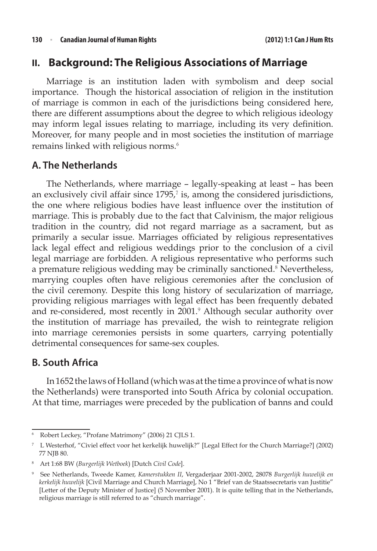### **II. Background: The Religious Associations of Marriage**

Marriage is an institution laden with symbolism and deep social importance. Though the historical association of religion in the institution of marriage is common in each of the jurisdictions being considered here, there are different assumptions about the degree to which religious ideology may inform legal issues relating to marriage, including its very definition. Moreover, for many people and in most societies the institution of marriage remains linked with religious norms.<sup>6</sup>

#### **A. The Netherlands**

The Netherlands, where marriage – legally-speaking at least – has been an exclusively civil affair since  $1795$ ,<sup> $7$ </sup> is, among the considered jurisdictions, the one where religious bodies have least influence over the institution of marriage. This is probably due to the fact that Calvinism, the major religious tradition in the country, did not regard marriage as a sacrament, but as primarily a secular issue. Marriages officiated by religious representatives lack legal effect and religious weddings prior to the conclusion of a civil legal marriage are forbidden. A religious representative who performs such a premature religious wedding may be criminally sanctioned.<sup>8</sup> Nevertheless, marrying couples often have religious ceremonies after the conclusion of the civil ceremony. Despite this long history of secularization of marriage, providing religious marriages with legal effect has been frequently debated and re-considered, most recently in 2001.<sup>9</sup> Although secular authority over the institution of marriage has prevailed, the wish to reintegrate religion into marriage ceremonies persists in some quarters, carrying potentially detrimental consequences for same-sex couples.

#### **B. South Africa**

In 1652 the laws of Holland (which was at the time a province of what is now the Netherlands) were transported into South Africa by colonial occupation. At that time, marriages were preceded by the publication of banns and could

<sup>6</sup> Robert Leckey, "Profane Matrimony" (2006) 21 CJLS 1.

<sup>7</sup> L Westerhof, "Civiel effect voor het kerkelijk huwelijk?" [Legal Effect for the Church Marriage?] (2002) 77 NJB 80.

<sup>8</sup> Art 1:68 BW (*Burgerlijk Wetboek*) [Dutch *Civil Code*].

<sup>9</sup> See Netherlands, Tweede Kamer, *Kamerstukken II*, Vergaderjaar 2001-2002, 28078 *Burgerlijk huwelijk en kerkelijk huwelijk* [Civil Marriage and Church Marriage], No 1 "Brief van de Staatssecretaris van Justitie" [Letter of the Deputy Minister of Justice] (5 November 2001). It is quite telling that in the Netherlands, religious marriage is still referred to as "church marriage".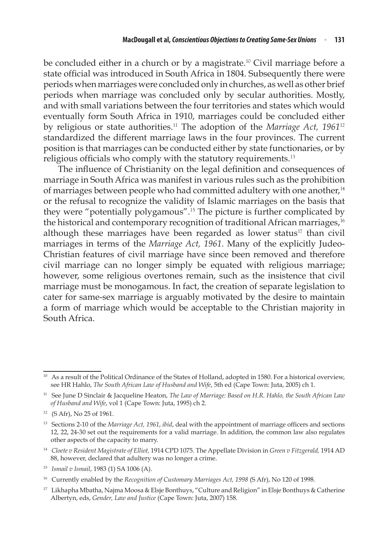be concluded either in a church or by a magistrate.<sup>10</sup> Civil marriage before a state official was introduced in South Africa in 1804. Subsequently there were periods when marriages were concluded only in churches, as well as other brief periods when marriage was concluded only by secular authorities. Mostly, and with small variations between the four territories and states which would eventually form South Africa in 1910, marriages could be concluded either by religious or state authorities.<sup>11</sup> The adoption of the *Marriage Act, 1961*<sup>12</sup> standardized the different marriage laws in the four provinces. The current position is that marriages can be conducted either by state functionaries, or by religious officials who comply with the statutory requirements.<sup>13</sup>

The influence of Christianity on the legal definition and consequences of marriage in South Africa was manifest in various rules such as the prohibition of marriages between people who had committed adultery with one another,<sup>14</sup> or the refusal to recognize the validity of Islamic marriages on the basis that they were "potentially polygamous".<sup>15</sup> The picture is further complicated by the historical and contemporary recognition of traditional African marriages,<sup>16</sup> although these marriages have been regarded as lower status $\mathbb{I}^7$  than civil marriages in terms of the *Marriage Act, 1961*. Many of the explicitly Judeo-Christian features of civil marriage have since been removed and therefore civil marriage can no longer simply be equated with religious marriage; however, some religious overtones remain, such as the insistence that civil marriage must be monogamous. In fact, the creation of separate legislation to cater for same-sex marriage is arguably motivated by the desire to maintain a form of marriage which would be acceptable to the Christian majority in South Africa.

<sup>&</sup>lt;sup>10</sup> As a result of the Political Ordinance of the States of Holland, adopted in 1580. For a historical overview, see HR Hahlo, *The South African Law of Husband and Wife*, 5th ed (Cape Town: Juta, 2005) ch 1.

<sup>11</sup> See June D Sinclair & Jacqueline Heaton, *The Law of Marriage: Based on H.R. Hahlo, the South African Law of Husband and Wife*, vol 1 (Cape Town: Juta, 1995) ch 2.

<sup>12</sup> (S Afr), No 25 of 1961.

<sup>13</sup> Sections 2-10 of the *Marriage Act, 1961*, *ibid*, deal with the appointment of marriage officers and sections 12, 22, 24-30 set out the requirements for a valid marriage. In addition, the common law also regulates other aspects of the capacity to marry.

<sup>14</sup> *Cloete v Resident Magistrate of Elliot,* 1914 CPD 1075. The Appellate Division in *Green v Fitzgerald,* 1914 AD 88, however, declared that adultery was no longer a crime.

<sup>15</sup> *Ismail v Ismail*, 1983 (1) SA 1006 (A).

<sup>16</sup> Currently enabled by the *Recognition of Customary Marriages Act, 1998* (S Afr), No 120 of 1998.

<sup>&</sup>lt;sup>17</sup> Likhapha Mbatha, Najma Moosa & Elsje Bonthuys, "Culture and Religion" in Elsje Bonthuys & Catherine Albertyn, eds, *Gender, Law and Justice* (Cape Town: Juta, 2007) 158.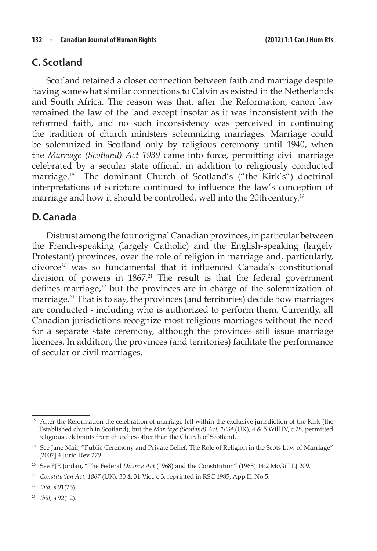# **C. Scotland**

Scotland retained a closer connection between faith and marriage despite having somewhat similar connections to Calvin as existed in the Netherlands and South Africa. The reason was that, after the Reformation, canon law remained the law of the land except insofar as it was inconsistent with the reformed faith, and no such inconsistency was perceived in continuing the tradition of church ministers solemnizing marriages. Marriage could be solemnized in Scotland only by religious ceremony until 1940, when the *Marriage (Scotland) Act 1939* came into force, permitting civil marriage celebrated by a secular state official, in addition to religiously conducted marriage.<sup>18</sup> The dominant Church of Scotland's ("the Kirk's") doctrinal interpretations of scripture continued to influence the law's conception of marriage and how it should be controlled, well into the 20th century.<sup>19</sup>

### **D. Canada**

Distrust among the four original Canadian provinces, in particular between the French-speaking (largely Catholic) and the English-speaking (largely Protestant) provinces, over the role of religion in marriage and, particularly,  $divorce<sup>20</sup>$  was so fundamental that it influenced Canada's constitutional division of powers in 1867.<sup>21</sup> The result is that the federal government defines marriage, $^{22}$  but the provinces are in charge of the solemnization of marriage.<sup>23</sup> That is to say, the provinces (and territories) decide how marriages are conducted - including who is authorized to perform them. Currently, all Canadian jurisdictions recognize most religious marriages without the need for a separate state ceremony, although the provinces still issue marriage licences. In addition, the provinces (and territories) facilitate the performance of secular or civil marriages.

<sup>23</sup> *Ibid*, s 92(12).

<sup>&</sup>lt;sup>18</sup> After the Reformation the celebration of marriage fell within the exclusive jurisdiction of the Kirk (the Established church in Scotland), but the *Marriage (Scotland) Act, 1834* (UK), 4 & 5 Will IV, c 28, permitted religious celebrants from churches other than the Church of Scotland.

<sup>&</sup>lt;sup>19</sup> See Jane Mair, "Public Ceremony and Private Belief: The Role of Religion in the Scots Law of Marriage" [2007] 4 Jurid Rev 279.

<sup>20</sup> See FJE Jordan, "The Federal *Divorce Act* (1968) and the Constitution" (1968) 14:2 McGill LJ 209.

<sup>21</sup> *Constitution Act, 1867* (UK)*,* 30 & 31 Vict, c 3, reprinted in RSC 1985, App II, No 5.

<sup>22</sup> *Ibid*, s 91(26).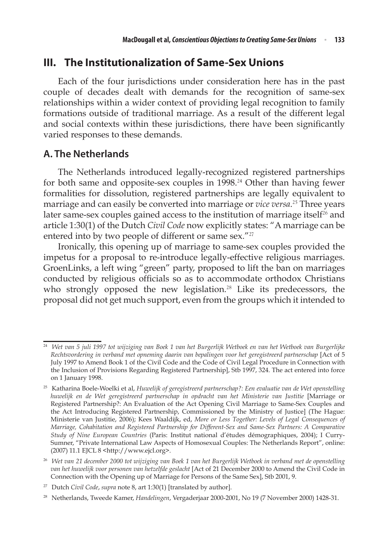#### **III. The Institutionalization of Same-Sex Unions**

Each of the four jurisdictions under consideration here has in the past couple of decades dealt with demands for the recognition of same-sex relationships within a wider context of providing legal recognition to family formations outside of traditional marriage. As a result of the different legal and social contexts within these jurisdictions, there have been significantly varied responses to these demands.

#### **A. The Netherlands**

The Netherlands introduced legally-recognized registered partnerships for both same and opposite-sex couples in 1998.<sup>24</sup> Other than having fewer formalities for dissolution, registered partnerships are legally equivalent to marriage and can easily be converted into marriage or *vice versa*. <sup>25</sup> Three years later same-sex couples gained access to the institution of marriage itself<sup>26</sup> and article 1:30(1) of the Dutch *Civil Code* now explicitly states: "A marriage can be entered into by two people of different or same sex."<sup>27</sup>

Ironically, this opening up of marriage to same-sex couples provided the impetus for a proposal to re-introduce legally-effective religious marriages. GroenLinks, a left wing "green" party, proposed to lift the ban on marriages conducted by religious officials so as to accommodate orthodox Christians who strongly opposed the new legislation.<sup>28</sup> Like its predecessors, the proposal did not get much support, even from the groups which it intended to

<sup>27</sup> Dutch *Civil Code*, *supra* note 8, art 1:30(1) [translated by author].

<sup>&</sup>lt;sup>24</sup> Wet van 5 juli 1997 tot wijziging van Boek 1 van het Burgerlijk Wetboek en van het Wetboek van Burgerlijke *Rechtsvordering in verband met opneming daarin van bepalingen voor het geregistreerd partnerschap* [Act of 5 July 1997 to Amend Book 1 of the Civil Code and the Code of Civil Legal Procedure in Connection with the Inclusion of Provisions Regarding Registered Partnership], Stb 1997, 324. The act entered into force on 1 January 1998.

<sup>25</sup> Katharina Boele-Woelki et al, *Huwelijk of geregistreerd partnerschap?: Een evaluatie van de Wet openstelling huwelijk en de Wet geregistreerd partnerschap in opdracht van het Ministerie van Justitie* [Marriage or Registered Partnership?: An Evaluation of the Act Opening Civil Marriage to Same-Sex Couples and the Act Introducing Registered Partnership, Commissioned by the Ministry of Justice] (The Hague: Ministerie van Justitie, 2006); Kees Waaldijk, ed, *More or Less Together: Levels of Legal Consequences of Marriage, Cohabitation and Registered Partnership for Different-Sex and Same-Sex Partners: A Comparative Study of Nine European Countries* (Paris: Institut national d'études démographiques, 2004); I Curry-Sumner, "Private International Law Aspects of Homosexual Couples: The Netherlands Report", online: (2007) 11.1 EJCL 8 <http://www.ejcl.org>.

<sup>&</sup>lt;sup>26</sup> Wet van 21 december 2000 tot wijziging van Boek 1 van het Burgerlijk Wetboek in verband met de openstelling *van het huwelijk voor personen van hetzelfde geslacht* [Act of 21 December 2000 to Amend the Civil Code in Connection with the Opening up of Marriage for Persons of the Same Sex], Stb 2001, 9.

<sup>28</sup> Netherlands, Tweede Kamer, *Handelingen*, Vergaderjaar 2000-2001, No 19 (7 November 2000) 1428-31.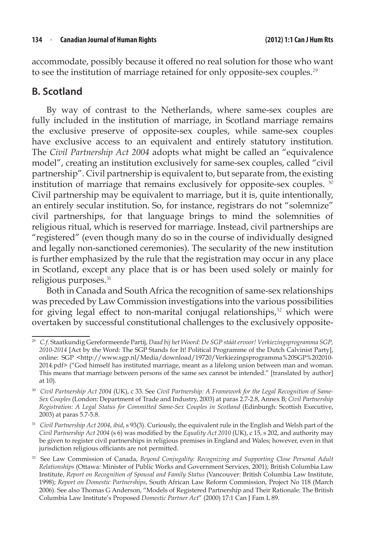accommodate, possibly because it offered no real solution for those who want to see the institution of marriage retained for only opposite-sex couples.<sup>29</sup>

#### **B. Scotland**

By way of contrast to the Netherlands, where same-sex couples are fully included in the institution of marriage, in Scotland marriage remains the exclusive preserve of opposite-sex couples, while same-sex couples have exclusive access to an equivalent and entirely statutory institution. The *Civil Partnership Act 2004* adopts what might be called an "equivalence model", creating an institution exclusively for same-sex couples, called "civil partnership". Civil partnership is equivalent to, but separate from, the existing institution of marriage that remains exclusively for opposite-sex couples.  $\overline{30}$ Civil partnership may be equivalent to marriage, but it is, quite intentionally, an entirely secular institution. So, for instance, registrars do not "solemnize" civil partnerships, for that language brings to mind the solemnities of religious ritual, which is reserved for marriage. Instead, civil partnerships are "registered" (even though many do so in the course of individually designed and legally non-sanctioned ceremonies). The secularity of the new institution is further emphasized by the rule that the registration may occur in any place in Scotland, except any place that is or has been used solely or mainly for religious purposes.<sup>31</sup>

Both in Canada and South Africa the recognition of same-sex relationships was preceded by Law Commission investigations into the various possibilities for giving legal effect to non-marital conjugal relationships, $32$  which were overtaken by successful constitutional challenges to the exclusively opposite-

<sup>29</sup> *C.f.* Staatkundig Gereformeerde Partij, *Daad bij het Woord: De SGP stáát ervoor! Verkiezingsprogramma SGP, 2010-2014* [Act by the Word: The SGP Stands for It! Political Programme of the Dutch Calvinist Party], online: SGP <http://www.sgp.nl/Media/download/19720/Verkiezingsprogramma%20SGP%202010-2014.pdf> ("God himself has instituted marriage, meant as a lifelong union between man and woman. This means that marriage between persons of the same sex cannot be intended." [translated by author] at 10).

<sup>30</sup> *Civil Partnership Act 2004* (UK), c 33. See *Civil Partnership: A Framework for the Legal Recognition of Same-Sex Couples* (London: Department of Trade and Industry, 2003) at paras 2.7-2.8, Annex B; *Civil Partnership Registration: A Legal Status for Committed Same-Sex Couples in Scotland* (Edinburgh: Scottish Executive, 2003) at paras 5.7-5.8.

<sup>31</sup> *Civil Partnership Act 2004*, *ibid*, s 93(3). Curiously, the equivalent rule in the English and Welsh part of the *Civil Partnership Act 2004* (s 6) was modified by the *Equality Act 2010* (UK), c 15, s 202, and authority may be given to register civil partnerships in religious premises in England and Wales; however, even in that jurisdiction religious officiants are not permitted.

<sup>32</sup> See Law Commission of Canada, *Beyond Conjugality: Recognizing and Supporting Close Personal Adult Relationships* (Ottawa: Minister of Public Works and Government Services, 2001); British Columbia Law Institute, *Report on Recognition of Spousal and Family Status* (Vancouver: British Columbia Law Institute, 1998); *Report on Domestic Partnerships*, South African Law Reform Commission, Project No 118 (March 2006). See also Thomas G Anderson, "Models of Registered Partnership and Their Rationale: The British Columbia Law Institute's Proposed *Domestic Partner Act*" (2000) 17:1 Can J Fam L 89.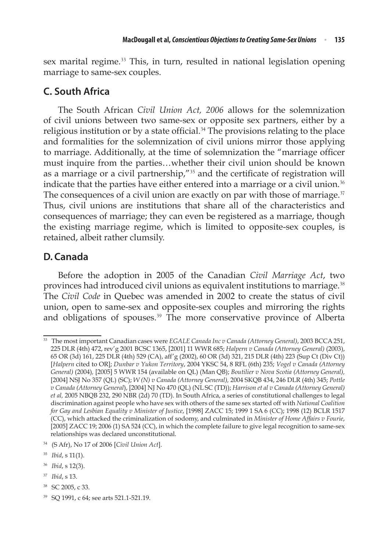sex marital regime.<sup>33</sup> This, in turn, resulted in national legislation opening marriage to same-sex couples.

### **C. South Africa**

The South African *Civil Union Act, 2006* allows for the solemnization of civil unions between two same-sex or opposite sex partners, either by a religious institution or by a state official.<sup>34</sup> The provisions relating to the place and formalities for the solemnization of civil unions mirror those applying to marriage. Additionally, at the time of solemnization the "marriage officer must inquire from the parties…whether their civil union should be known as a marriage or a civil partnership,"<sup>35</sup> and the certificate of registration will indicate that the parties have either entered into a marriage or a civil union.<sup>36</sup> The consequences of a civil union are exactly on par with those of marriage. $37$ Thus, civil unions are institutions that share all of the characteristics and consequences of marriage; they can even be registered as a marriage, though the existing marriage regime, which is limited to opposite-sex couples, is retained, albeit rather clumsily.

### **D. Canada**

Before the adoption in 2005 of the Canadian *Civil Marriage Act*, two provinces had introduced civil unions as equivalent institutions to marriage.<sup>38</sup> The *Civil Code* in Quebec was amended in 2002 to create the status of civil union, open to same-sex and opposite-sex couples and mirroring the rights and obligations of spouses.<sup>39</sup> The more conservative province of Alberta

- <sup>37</sup> *Ibid*, s 13.
- <sup>38</sup> SC 2005, c 33.

<sup>33</sup> The most important Canadian cases were *EGALE Canada Inc v Canada (Attorney General)*, 2003 BCCA251, 225 DLR (4th) 472, rev'g 2001 BCSC 1365, [2001] 11 WWR 685; *Halpern v Canada (Attorney General)* (2003), 65 OR (3d) 161, 225 DLR (4th) 529 (CA), aff'g (2002), 60 OR (3d) 321, 215 DLR (4th) 223 (Sup Ct (Div Ct)) [*Halpern* cited to OR]; *Dunbar v Yukon Territory*, 2004 YKSC 54, 8 RFL (6th) 235; *Vogel v Canada (Attorney General)* (2004)*,* [2005] 5 WWR 154 (available on QL) (Man QB); *Boutilier v Nova Scotia (Attorney General),* [2004] NSJ No 357 (QL) (SC); *W (N) v Canada (Attorney General),* 2004 SKQB 434, 246 DLR (4th) 345; *Pottle v Canada (Attorney General*), [2004] NJ No 470 (QL) (NL SC (TD)); *Harrison et al v Canada (Attorney General) et al,* 2005 NBQB 232, 290 NBR (2d) 70 (TD). In South Africa, a series of constitutional challenges to legal discrimination against people who have sex with others of the same sex started off with *National Coalition for Gay and Lesbian Equality v Minister of Justice*, [1998] ZACC 15; 1999 1 SA 6 (CC); 1998 (12) BCLR 1517 (CC), which attacked the criminalization of sodomy, and culminated in *Minister of Home Affairs v Fourie*, [2005] ZACC 19; 2006 (1) SA 524 (CC), in which the complete failure to give legal recognition to same-sex relationships was declared unconstitutional.

<sup>34</sup> (S Afr), No 17 of 2006 [*Civil Union Act*].

<sup>35</sup> *Ibid*, s 11(1).

<sup>36</sup> *Ibid*, s 12(3).

<sup>39</sup> SQ 1991, c 64; see arts 521.1-521.19.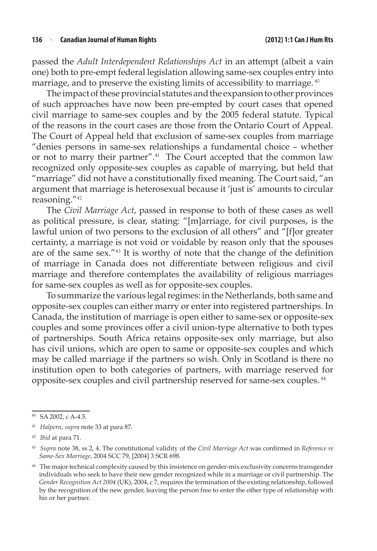passed the *Adult Interdependent Relationships Act* in an attempt (albeit a vain one) both to pre-empt federal legislation allowing same-sex couples entry into marriage, and to preserve the existing limits of accessibility to marriage. <sup>40</sup>

The impact of these provincial statutes and the expansion to other provinces of such approaches have now been pre-empted by court cases that opened civil marriage to same-sex couples and by the 2005 federal statute. Typical of the reasons in the court cases are those from the Ontario Court of Appeal. The Court of Appeal held that exclusion of same-sex couples from marriage "denies persons in same-sex relationships a fundamental choice – whether or not to marry their partner".<sup>41</sup> The Court accepted that the common law recognized only opposite-sex couples as capable of marrying, but held that "marriage" did not have a constitutionally fixed meaning. The Court said, "an argument that marriage is heterosexual because it 'just is' amounts to circular reasoning."<sup>42</sup>

The *Civil Marriage Act*, passed in response to both of these cases as well as political pressure, is clear, stating: "[m]arriage, for civil purposes, is the lawful union of two persons to the exclusion of all others" and "[f]or greater certainty, a marriage is not void or voidable by reason only that the spouses are of the same sex."<sup>43</sup> It is worthy of note that the change of the definition of marriage in Canada does not differentiate between religious and civil marriage and therefore contemplates the availability of religious marriages for same-sex couples as well as for opposite-sex couples.

To summarize the various legal regimes: in the Netherlands, both same and opposite-sex couples can either marry or enter into registered partnerships. In Canada, the institution of marriage is open either to same-sex or opposite-sex couples and some provinces offer a civil union-type alternative to both types of partnerships. South Africa retains opposite-sex only marriage, but also has civil unions, which are open to same or opposite-sex couples and which may be called marriage if the partners so wish. Only in Scotland is there no institution open to both categories of partners, with marriage reserved for opposite-sex couples and civil partnership reserved for same-sex couples. <sup>44</sup>

<sup>40</sup> SA 2002, c A-4.5.

<sup>41</sup> *Halpern*, *supra* note 33 at para 87.

<sup>42</sup> *Ibid* at para 71.

<sup>43</sup> *Supra* note 38, ss 2, 4. The constitutional validity of the *Civil Marriage Act* was confirmed in *Reference re Same-Sex Marriage*, 2004 SCC 79, [2004] 3 SCR 698.

<sup>&</sup>lt;sup>44</sup> The major technical complexity caused by this insistence on gender-mix exclusivity concerns transgender individuals who seek to have their new gender recognized while in a marriage or civil partnership. The *Gender Recognition Act 2004* (UK), 2004, c 7, requires the termination of the existing relationship, followed by the recognition of the new gender, leaving the person free to enter the other type of relationship with his or her partner.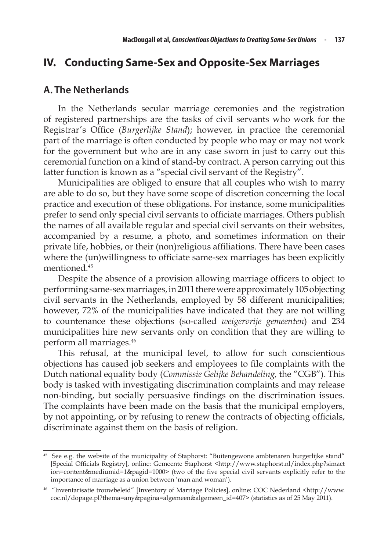### **IV. Conducting Same-Sex and Opposite-Sex Marriages**

#### **A. The Netherlands**

In the Netherlands secular marriage ceremonies and the registration of registered partnerships are the tasks of civil servants who work for the Registrar's Office (*Burgerlijke Stand*); however, in practice the ceremonial part of the marriage is often conducted by people who may or may not work for the government but who are in any case sworn in just to carry out this ceremonial function on a kind of stand-by contract. A person carrying out this latter function is known as a "special civil servant of the Registry".

Municipalities are obliged to ensure that all couples who wish to marry are able to do so, but they have some scope of discretion concerning the local practice and execution of these obligations. For instance, some municipalities prefer to send only special civil servants to officiate marriages. Others publish the names of all available regular and special civil servants on their websites, accompanied by a resume, a photo, and sometimes information on their private life, hobbies, or their (non)religious affiliations. There have been cases where the (un)willingness to officiate same-sex marriages has been explicitly mentioned.<sup>45</sup>

Despite the absence of a provision allowing marriage officers to object to performing same-sex marriages, in 2011 there were approximately 105 objecting civil servants in the Netherlands, employed by 58 different municipalities; however, 72% of the municipalities have indicated that they are not willing to countenance these objections (so-called *weigervrije gemeenten*) and 234 municipalities hire new servants only on condition that they are willing to perform all marriages.<sup>46</sup>

This refusal, at the municipal level, to allow for such conscientious objections has caused job seekers and employees to file complaints with the Dutch national equality body (*Commissie Gelijke Behandeling,* the "CGB"). This body is tasked with investigating discrimination complaints and may release non-binding, but socially persuasive findings on the discrimination issues. The complaints have been made on the basis that the municipal employers, by not appointing, or by refusing to renew the contracts of objecting officials, discriminate against them on the basis of religion.

<sup>45</sup> See e.g. the website of the municipality of Staphorst: "Buitengewone ambtenaren burgerlijke stand" [Special Officials Registry], online: Gemeente Staphorst <http://www.staphorst.nl/index.php?simact ion=content&mediumid=1&pagid=1000> (two of the five special civil servants explicitly refer to the importance of marriage as a union between 'man and woman').

<sup>46</sup> "Inventarisatie trouwbeleid" [Inventory of Marriage Policies], online: COC Nederland <http://www. coc.nl/dopage.pl?thema=any&pagina=algemeen&algemeen\_id=407> (statistics as of 25 May 2011).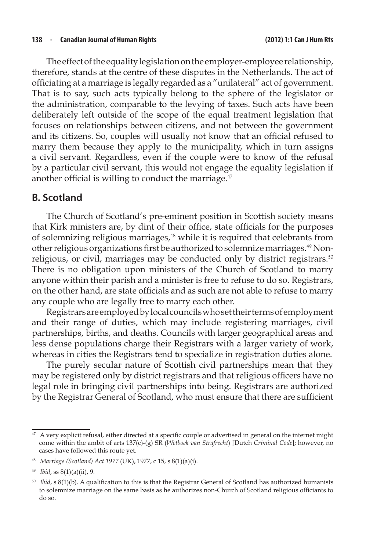#### **138**  <sup>n</sup> **Canadian Journal of Human Rights (2012) 1:1 Can J HumRts**

Theeffectoftheequalitylegislationontheemployer-employeerelationship, therefore, stands at the centre of these disputes in the Netherlands. The act of officiating at a marriage is legally regarded as a "unilateral" act of government. That is to say, such acts typically belong to the sphere of the legislator or the administration, comparable to the levying of taxes. Such acts have been deliberately left outside of the scope of the equal treatment legislation that focuses on relationships between citizens, and not between the government and its citizens. So, couples will usually not know that an official refused to marry them because they apply to the municipality, which in turn assigns a civil servant. Regardless, even if the couple were to know of the refusal by a particular civil servant, this would not engage the equality legislation if another official is willing to conduct the marriage.<sup>47</sup>

#### **B. Scotland**

The Church of Scotland's pre-eminent position in Scottish society means that Kirk ministers are, by dint of their office, state officials for the purposes of solemnizing religious marriages,<sup>48</sup> while it is required that celebrants from other religious organizations first be authorized to solemnize marriages.<sup>49</sup> Nonreligious, or civil, marriages may be conducted only by district registrars.<sup>50</sup> There is no obligation upon ministers of the Church of Scotland to marry anyone within their parish and a minister is free to refuse to do so. Registrars, on the other hand, are state officials and as such are not able to refuse to marry any couple who are legally free to marry each other.

Registrarsareemployedbylocalcouncilswhosettheirtermsofemployment and their range of duties, which may include registering marriages, civil partnerships, births, and deaths. Councils with larger geographical areas and less dense populations charge their Registrars with a larger variety of work, whereas in cities the Registrars tend to specialize in registration duties alone.

The purely secular nature of Scottish civil partnerships mean that they may be registered only by district registrars and that religious officers have no legal role in bringing civil partnerships into being. Registrars are authorized by the Registrar General of Scotland, who must ensure that there are sufficient

<sup>&</sup>lt;sup>47</sup> A very explicit refusal, either directed at a specific couple or advertised in general on the internet might come within the ambit of arts 137(c)-(g) SR (*Wetboek van Strafrecht*) [Dutch *Criminal Code*]; however, no cases have followed this route yet.

<sup>48</sup> *Marriage (Scotland) Act 1977* (UK), 1977, c 15, s 8(1)(a)(i).

<sup>49</sup> *Ibid*, ss 8(1)(a)(ii), 9.

<sup>&</sup>lt;sup>50</sup> *Ibid*, s 8(1)(b). A qualification to this is that the Registrar General of Scotland has authorized humanists to solemnize marriage on the same basis as he authorizes non-Church of Scotland religious officiants to do so.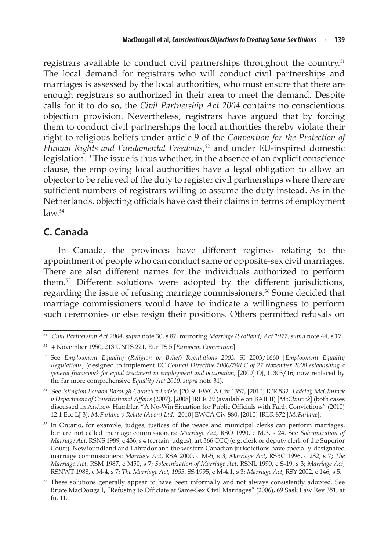registrars available to conduct civil partnerships throughout the country.<sup>51</sup> The local demand for registrars who will conduct civil partnerships and marriages is assessed by the local authorities, who must ensure that there are enough registrars so authorized in their area to meet the demand. Despite calls for it to do so, the *Civil Partnership Act 2004* contains no conscientious objection provision. Nevertheless, registrars have argued that by forcing them to conduct civil partnerships the local authorities thereby violate their right to religious beliefs under article 9 of the *Convention for the Protection of Human Rights and Fundamental Freedoms*, <sup>52</sup> and under EU-inspired domestic legislation.<sup>53</sup> The issue is thus whether, in the absence of an explicit conscience clause, the employing local authorities have a legal obligation to allow an objector to be relieved of the duty to register civil partnerships where there are sufficient numbers of registrars willing to assume the duty instead. As in the Netherlands, objecting officials have cast their claims in terms of employment  $law<sup>54</sup>$ 

#### **C. Canada**

In Canada, the provinces have different regimes relating to the appointment of people who can conduct same or opposite-sex civil marriages. There are also different names for the individuals authorized to perform them.<sup>55</sup> Different solutions were adopted by the different jurisdictions, regarding the issue of refusing marriage commissioners.<sup>56</sup> Some decided that marriage commissioners would have to indicate a willingness to perform such ceremonies or else resign their positions. Others permitted refusals on

<sup>55</sup> In Ontario, for example, judges, justices of the peace and municipal clerks can perform marriages, but are not called marriage commissioners: *Marriage Act*, RSO 1990, c M.3, s 24. See *Solemnization of Marriage Act*, RSNS 1989, c 436, s 4 (certain judges); art 366 CCQ (e.g. clerk or deputy clerk of the Superior Court). Newfoundland and Labrador and the western Canadian jurisdictions have specially-designated marriage commissioners: *Marriage Act*, RSA 2000, c M-5, s 3; *Marriage Act*, RSBC 1996, c 282, s 7; *The Marriage Act*, RSM 1987, c M50, s 7; *Solemnization of Marriage Act*, RSNL 1990, c S-19, s 3; *Marriage Act*, RSNWT 1988, c M-4, s 7; *The Marriage Act, 1995*, SS 1995, c M-4.1, s 3; *Marriage Act*, RSY 2002, c 146, s 5.

<sup>51</sup> *Civil Partnership Act 2004*, *supra* note 30, s 87, mirroring *Marriage (Scotland) Act 1977*, *supra* note 44, s 17.

<sup>52</sup> 4 November 1950, 213 UNTS 221, Eur TS 5 [*European Convention*].

<sup>53</sup> See *Employment Equality (Religion or Belief) Regulations 2003,* SI 2003/1660 [*Employment Equality Regulations*] (designed to implement EC *Council Directive 2000/78/EC of 27 November 2000 establishing a general framework for equal treatment in employment and occupation*, [2000] OJ, L 303/16; now replaced by the far more comprehensive *Equality Act 2010*, *supra* note 31).

<sup>54</sup> See *Islington London Borough Council v Ladele*, [2009] EWCA Civ 1357, [2010] ICR 532 [*Ladele*]; *McClintock v Department of Constitutional Affairs* (2007), [2008] IRLR 29 (available on BAILII) [*McClintock*] (both cases discussed in Andrew Hambler, "A No-Win Situation for Public Officials with Faith Convictions" (2010) 12:1 Ecc LJ 3); *McFarlane v Relate (Avon) Ltd*, [2010] EWCA Civ 880, [2010] IRLR 872 [*McFarlane*].

<sup>&</sup>lt;sup>56</sup> These solutions generally appear to have been informally and not always consistently adopted. See Bruce MacDougall, "Refusing to Officiate at Same-Sex Civil Marriages" (2006), 69 Sask Law Rev 351, at fn. 11.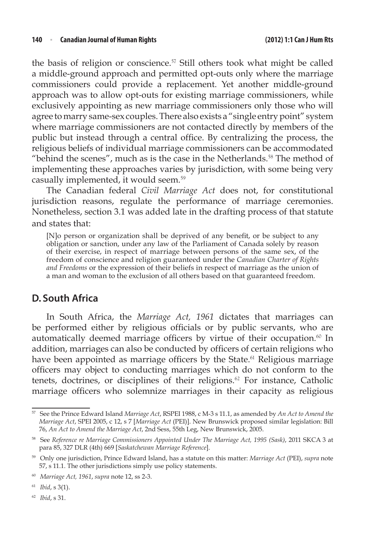the basis of religion or conscience.<sup>57</sup> Still others took what might be called a middle-ground approach and permitted opt-outs only where the marriage commissioners could provide a replacement. Yet another middle-ground approach was to allow opt-outs for existing marriage commissioners, while exclusively appointing as new marriage commissioners only those who will agree tomarry same-sex couples.There also exists a "single entrypoint" system where marriage commissioners are not contacted directly by members of the public but instead through a central office. By centralizing the process, the religious beliefs of individual marriage commissioners can be accommodated "behind the scenes", much as is the case in the Netherlands. $58$  The method of implementing these approaches varies by jurisdiction, with some being very casually implemented, it would seem.<sup>59</sup>

The Canadian federal *Civil Marriage Act* does not, for constitutional jurisdiction reasons, regulate the performance of marriage ceremonies. Nonetheless, section 3.1 was added late in the drafting process of that statute and states that:

[N]o person or organization shall be deprived of any benefit, or be subject to any obligation or sanction, under any law of the Parliament of Canada solely by reason of their exercise, in respect of marriage between persons of the same sex, of the freedom of conscience and religion guaranteed under the *Canadian Charter of Rights and Freedoms* or the expression of their beliefs in respect of marriage as the union of a man and woman to the exclusion of all others based on that guaranteed freedom.

#### **D. South Africa**

In South Africa, the *Marriage Act, 1961* dictates that marriages can be performed either by religious officials or by public servants, who are automatically deemed marriage officers by virtue of their occupation. $60$  In addition, marriages can also be conducted by officers of certain religions who have been appointed as marriage officers by the State.<sup>61</sup> Religious marriage officers may object to conducting marriages which do not conform to the tenets, doctrines, or disciplines of their religions.<sup>62</sup> For instance, Catholic marriage officers who solemnize marriages in their capacity as religious

<sup>61</sup> *Ibid*, s 3(1).

<sup>62</sup> *Ibid*, s 31.

<sup>57</sup> See the Prince Edward Island *Marriage Act*, RSPEI 1988, c M-3 s 11.1, as amended by *An Act to Amend the Marriage Act*, SPEI 2005, c 12, s 7 [*Marriage Act* (PEI)]. New Brunswick proposed similar legislation: Bill 76, *An Act to Amend the Marriage Act*, 2nd Sess, 55th Leg, New Brunswick, 2005.

<sup>58</sup> See *Reference re Marriage Commissioners Appointed Under The Marriage Act, 1995 (Sask)*, 2011 SKCA 3 at para 85, 327 DLR (4th) 669 [*Saskatchewan Marriage Reference*].

<sup>59</sup> Only one jurisdiction, Prince Edward Island, has a statute on this matter: *Marriage Act* (PEI), *supra* note 57, s 11.1. The other jurisdictions simply use policy statements.

<sup>60</sup> *Marriage Act, 1961*, *supra* note 12, ss 2-3.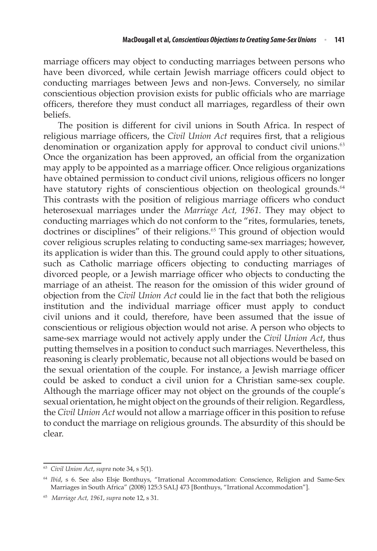marriage officers may object to conducting marriages between persons who have been divorced, while certain Jewish marriage officers could object to conducting marriages between Jews and non-Jews. Conversely, no similar conscientious objection provision exists for public officials who are marriage officers, therefore they must conduct all marriages, regardless of their own beliefs.

The position is different for civil unions in South Africa. In respect of religious marriage officers, the *Civil Union Act* requires first, that a religious denomination or organization apply for approval to conduct civil unions.<sup>63</sup> Once the organization has been approved, an official from the organization may apply to be appointed as a marriage officer. Once religious organizations have obtained permission to conduct civil unions, religious officers no longer have statutory rights of conscientious objection on theological grounds.<sup>64</sup> This contrasts with the position of religious marriage officers who conduct heterosexual marriages under the *Marriage Act, 1961*. They may object to conducting marriages which do not conform to the "rites, formularies, tenets, doctrines or disciplines" of their religions.<sup>65</sup> This ground of objection would cover religious scruples relating to conducting same-sex marriages; however, its application is wider than this. The ground could apply to other situations, such as Catholic marriage officers objecting to conducting marriages of divorced people, or a Jewish marriage officer who objects to conducting the marriage of an atheist. The reason for the omission of this wider ground of objection from the *Civil Union Act* could lie in the fact that both the religious institution and the individual marriage officer must apply to conduct civil unions and it could, therefore, have been assumed that the issue of conscientious or religious objection would not arise. A person who objects to same-sex marriage would not actively apply under the *Civil Union Act*, thus putting themselves in a position to conduct such marriages. Nevertheless, this reasoning is clearly problematic, because not all objections would be based on the sexual orientation of the couple. For instance, a Jewish marriage officer could be asked to conduct a civil union for a Christian same-sex couple. Although the marriage officer may not object on the grounds of the couple's sexual orientation, he might object on the grounds of their religion. Regardless, the *Civil Union Act* would not allow a marriage officer in this position to refuse to conduct the marriage on religious grounds. The absurdity of this should be clear.

<sup>63</sup> *Civil Union Act*, *supra* note 34, s 5(1).

<sup>&</sup>lt;sup>64</sup> *Ibid*, s 6. See also Elsje Bonthuys, "Irrational Accommodation: Conscience, Religion and Same-Sex Marriages in South Africa" (2008) 125:3 SALJ 473 [Bonthuys, "Irrational Accommodation"].

<sup>65</sup> *Marriage Act, 1961*, *supra* note 12, s 31.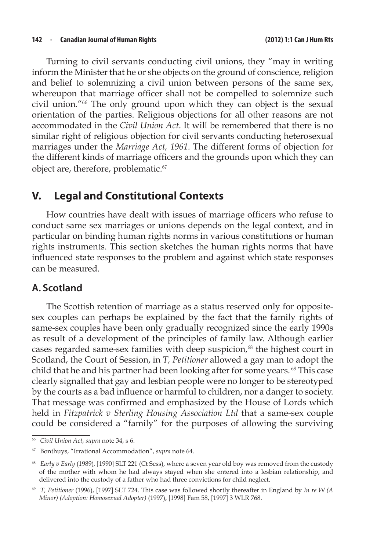Turning to civil servants conducting civil unions, they "may in writing inform the Minister that he or she objects on the ground of conscience, religion and belief to solemnizing a civil union between persons of the same sex, whereupon that marriage officer shall not be compelled to solemnize such civil union."<sup>66</sup> The only ground upon which they can object is the sexual orientation of the parties. Religious objections for all other reasons are not accommodated in the *Civil Union Act*. It will be remembered that there is no similar right of religious objection for civil servants conducting heterosexual marriages under the *Marriage Act, 1961*. The different forms of objection for the different kinds of marriage officers and the grounds upon which they can object are, therefore, problematic.<sup>67</sup>

# **V. Legal and Constitutional Contexts**

How countries have dealt with issues of marriage officers who refuse to conduct same sex marriages or unions depends on the legal context, and in particular on binding human rights norms in various constitutions or human rights instruments. This section sketches the human rights norms that have influenced state responses to the problem and against which state responses can be measured.

#### **A. Scotland**

The Scottish retention of marriage as a status reserved only for oppositesex couples can perhaps be explained by the fact that the family rights of same-sex couples have been only gradually recognized since the early 1990s as result of a development of the principles of family law. Although earlier cases regarded same-sex families with deep suspicion,<sup>68</sup> the highest court in Scotland, the Court of Session, in *T, Petitioner* allowed a gay man to adopt the child that he and his partner had been looking after for some years. <sup>69</sup> This case clearly signalled that gay and lesbian people were no longer to be stereotyped by the courts as a bad influence or harmful to children, nor a danger to society. That message was confirmed and emphasized by the House of Lords which held in *Fitzpatrick v Sterling Housing Association Ltd* that a same-sex couple could be considered a "family" for the purposes of allowing the surviving

<sup>66</sup> *Civil Union Act*, *supra* note 34, s 6.

<sup>67</sup> Bonthuys, "Irrational Accommodation", *supra* note 64.

<sup>68</sup> *Early v Early* (1989)*,* [1990] SLT 221 (Ct Sess), where a seven year old boy was removed from the custody of the mother with whom he had always stayed when she entered into a lesbian relationship, and delivered into the custody of a father who had three convictions for child neglect.

<sup>69</sup> *T, Petitioner* (1996), [1997] SLT 724. This case was followed shortly thereafter in England by *In re W (A Minor) (Adoption: Homosexual Adopter)* (1997), [1998] Fam 58, [1997] 3 WLR 768.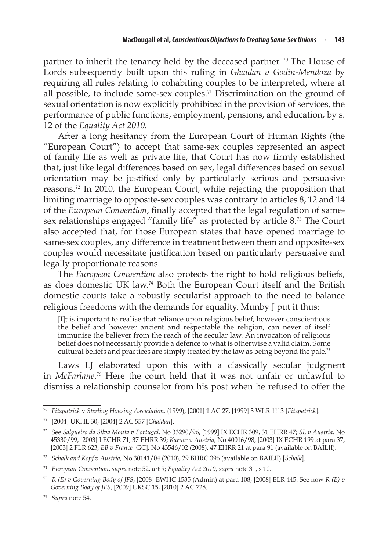partner to inherit the tenancy held by the deceased partner.<sup>70</sup> The House of Lords subsequently built upon this ruling in *Ghaidan v Godin-Mendoza* by requiring all rules relating to cohabiting couples to be interpreted, where at all possible, to include same-sex couples.<sup>71</sup> Discrimination on the ground of sexual orientation is now explicitly prohibited in the provision of services, the performance of public functions, employment, pensions, and education, by s. 12 of the *Equality Act 2010*.

After a long hesitancy from the European Court of Human Rights (the "European Court") to accept that same-sex couples represented an aspect of family life as well as private life, that Court has now firmly established that, just like legal differences based on sex, legal differences based on sexual orientation may be justified only by particularly serious and persuasive reasons.<sup>72</sup> In 2010, the European Court, while rejecting the proposition that limiting marriage to opposite-sex couples was contrary to articles 8, 12 and 14 of the *European Convention*, finally accepted that the legal regulation of samesex relationships engaged "family life" as protected by article 8.<sup>73</sup> The Court also accepted that, for those European states that have opened marriage to same-sex couples, any difference in treatment between them and opposite-sex couples would necessitate justification based on particularly persuasive and legally proportionate reasons.

The *European Convention* also protects the right to hold religious beliefs, as does domestic UK law.<sup>74</sup> Both the European Court itself and the British domestic courts take a robustly secularist approach to the need to balance religious freedoms with the demands for equality. Munby J put it thus:

[I]t is important to realise that reliance upon religious belief, however conscientious the belief and however ancient and respectable the religion, can never of itself immunise the believer from the reach of the secular law. An invocation of religious belief does not necessarily provide a defence to what is otherwise a valid claim. Some cultural beliefs and practices are simply treated by the law as being beyond the pale.<sup>75</sup>

Laws LJ elaborated upon this with a classically secular judgment in *McFarlane*. <sup>76</sup> Here the court held that it was not unfair or unlawful to dismiss a relationship counselor from his post when he refused to offer the

<sup>70</sup> *Fitzpatrick* v *Sterling Housing Association,* (1999), [2001] 1 AC 27, [1999] 3 WLR 1113 [*Fitzpatrick*].

<sup>71</sup> [2004] UKHL 30, [2004] 2 AC 557 [*Ghaidan*].

<sup>72</sup> See *Salgueiro da Silva Mouta v Portugal,* No 33290/96, [1999] IX ECHR 309, 31 EHRR 47; *SL v Austria,* No 45330/99, [2003] I ECHR 71, 37 EHRR 39; *Karner v Austria,* No 40016/98, [2003] IX ECHR 199 at para 37, [2003] 2 FLR 623; *EB v France* [GC]*,* No 43546/02 (2008), 47 EHRR 21 at para 91 (available on BAILII).

<sup>73</sup> *Schalk and Kopf v Austria,* No 30141/04 (2010), 29 BHRC 396 (available on BAILII) [*Schalk*].

<sup>74</sup> *European Convention*, *supra* note 52, art 9; *Equality Act 2010*, *supra* note 31, s 10.

<sup>75</sup> *R (E) v Governing Body of JFS*, [2008] EWHC 1535 (Admin) at para 108, [2008] ELR 445. See now *R (E) v Governing Body of JFS*, [2009] UKSC 15, [2010] 2 AC 728.

<sup>76</sup> *Supra* note 54.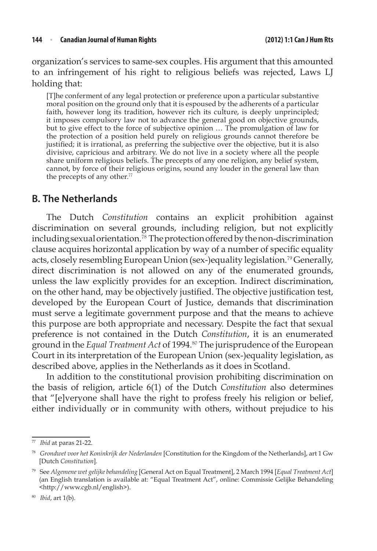organization's services to same-sex couples. His argument that this amounted to an infringement of his right to religious beliefs was rejected, Laws LJ holding that:

[T]he conferment of any legal protection or preference upon a particular substantive moral position on the ground only that it is espoused by the adherents of a particular faith, however long its tradition, however rich its culture, is deeply unprincipled; it imposes compulsory law not to advance the general good on objective grounds, but to give effect to the force of subjective opinion … The promulgation of law for the protection of a position held purely on religious grounds cannot therefore be justified; it is irrational, as preferring the subjective over the objective, but it is also divisive, capricious and arbitrary. We do not live in a society where all the people share uniform religious beliefs. The precepts of any one religion, any belief system, cannot, by force of their religious origins, sound any louder in the general law than the precepts of any other.<sup>77</sup>

#### **B. The Netherlands**

The Dutch *Constitution* contains an explicit prohibition against discrimination on several grounds, including religion, but not explicitly including sexual orientation.<sup>78</sup> The protection offered by the non-discrimination clause acquires horizontal application by way of a number of specific equality acts, closely resembling European Union (sex-)equality legislation.<sup>79</sup> Generally, direct discrimination is not allowed on any of the enumerated grounds, unless the law explicitly provides for an exception. Indirect discrimination, on the other hand, may be objectively justified. The objective justification test, developed by the European Court of Justice, demands that discrimination must serve a legitimate government purpose and that the means to achieve this purpose are both appropriate and necessary. Despite the fact that sexual preference is not contained in the Dutch *Constitution*, it is an enumerated ground in the *Equal Treatment Act* of 1994.<sup>80</sup> The jurisprudence of the European Court in its interpretation of the European Union (sex-)equality legislation, as described above, applies in the Netherlands as it does in Scotland.

In addition to the constitutional provision prohibiting discrimination on the basis of religion, article 6(1) of the Dutch *Constitution* also determines that "[e]veryone shall have the right to profess freely his religion or belief, either individually or in community with others, without prejudice to his

<sup>77</sup> *Ibid* at paras 21-22.

<sup>78</sup> *Grondwet voor het Koninkrijk der Nederlanden* [Constitution for the Kingdom of the Netherlands], art 1 Gw [Dutch *Constitution*].

<sup>79</sup> See *Algemene wet gelijke behandeling* [General Act on Equal Treatment], 2 March 1994 [*Equal Treatment Act*] (an English translation is available at: "Equal Treatment Act", online: Commissie Gelijke Behandeling <http://www.cgb.nl/english>).

*Ibid*, art 1(b).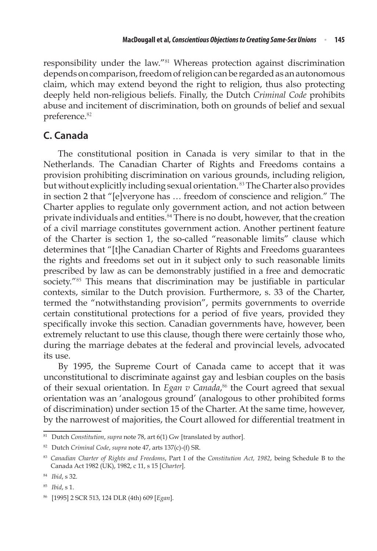responsibility under the law."<sup>81</sup> Whereas protection against discrimination depends on comparison, freedom of religion can be regarded as an autonomous claim, which may extend beyond the right to religion, thus also protecting deeply held non-religious beliefs. Finally, the Dutch *Criminal Code* prohibits abuse and incitement of discrimination, both on grounds of belief and sexual preference.<sup>82</sup>

# **C. Canada**

The constitutional position in Canada is very similar to that in the Netherlands. The Canadian Charter of Rights and Freedoms contains a provision prohibiting discrimination on various grounds, including religion, but without explicitly including sexual orientation.<sup>83</sup> The Charter also provides in section 2 that "[e]veryone has … freedom of conscience and religion." The Charter applies to regulate only government action, and not action between private individuals and entities.<sup>84</sup> There is no doubt, however, that the creation of a civil marriage constitutes government action. Another pertinent feature of the Charter is section 1, the so-called "reasonable limits" clause which determines that "[t]he Canadian Charter of Rights and Freedoms guarantees the rights and freedoms set out in it subject only to such reasonable limits prescribed by law as can be demonstrably justified in a free and democratic society.<sup>"85</sup> This means that discrimination may be justifiable in particular contexts, similar to the Dutch provision. Furthermore, s. 33 of the Charter, termed the "notwithstanding provision", permits governments to override certain constitutional protections for a period of five years, provided they specifically invoke this section. Canadian governments have, however, been extremely reluctant to use this clause, though there were certainly those who, during the marriage debates at the federal and provincial levels, advocated its use.

By 1995, the Supreme Court of Canada came to accept that it was unconstitutional to discriminate against gay and lesbian couples on the basis of their sexual orientation. In *Egan v Canada*, <sup>86</sup> the Court agreed that sexual orientation was an 'analogous ground' (analogous to other prohibited forms of discrimination) under section 15 of the Charter. At the same time, however, by the narrowest of majorities, the Court allowed for differential treatment in

<sup>81</sup> Dutch *Constitution*, *supra* note 78, art 6(1) Gw [translated by author].

<sup>82</sup> Dutch *Criminal Code*, *supra* note 47, arts 137(c)-(f) SR.

<sup>83</sup> *Canadian Charter of Rights and Freedoms*, Part I of the *Constitution Act, 1982*, being Schedule B to the Canada Act 1982 (UK), 1982, c 11, s 15 [*Charter*].

<sup>84</sup> *Ibid*, s 32.

<sup>85</sup> *Ibid*, s 1.

<sup>86</sup> [1995] 2 SCR 513, 124 DLR (4th) 609 [*Egan*].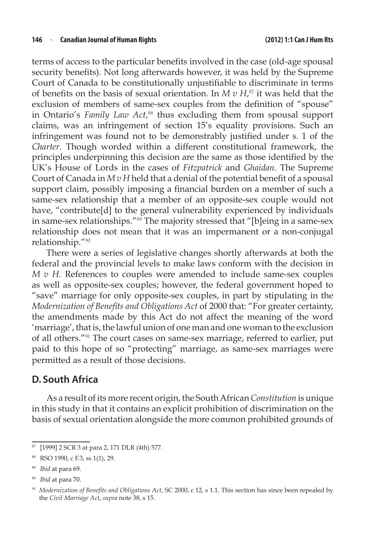terms of access to the particular benefits involved in the case (old-age spousal security benefits). Not long afterwards however, it was held by the Supreme Court of Canada to be constitutionally unjustifiable to discriminate in terms of benefits on the basis of sexual orientation. In *M v H*, <sup>87</sup> it was held that the exclusion of members of same-sex couples from the definition of "spouse" in Ontario's *Family Law Act*, <sup>88</sup> thus excluding them from spousal support claims, was an infringement of section 15's equality provisions. Such an infringement was found not to be demonstrably justified under s. 1 of the *Charter*. Though worded within a different constitutional framework, the principles underpinning this decision are the same as those identified by the UK's House of Lords in the cases of *Fitzpatrick* and *Ghaidan*. The Supreme Court of Canada in *M v H* held that a denial of the potential benefit of a spousal support claim, possibly imposing a financial burden on a member of such a same-sex relationship that a member of an opposite-sex couple would not have, "contribute[d] to the general vulnerability experienced by individuals in same-sex relationships."<sup>89</sup> The majority stressed that "[b]eing in a same-sex relationship does not mean that it was an impermanent or a non-conjugal relationship."<sup>90</sup>

There were a series of legislative changes shortly afterwards at both the federal and the provincial levels to make laws conform with the decision in *M v H.* References to couples were amended to include same-sex couples as well as opposite-sex couples; however, the federal government hoped to "save" marriage for only opposite-sex couples, in part by stipulating in the *Modernization of Benefits and Obligations Act* of 2000 that: "For greater certainty, the amendments made by this Act do not affect the meaning of the word 'marriage', that is, the lawful union of one man and one woman to the exclusion of all others."<sup>91</sup> The court cases on same-sex marriage, referred to earlier, put paid to this hope of so "protecting" marriage, as same-sex marriages were permitted as a result of those decisions.

#### **D. South Africa**

As a result ofits more recent origin, the SouthAfrican*Constitution* is unique in this study in that it contains an explicit prohibition of discrimination on the basis of sexual orientation alongside the more common prohibited grounds of

<sup>87</sup> [1999] 2 SCR 3 at para 2, 171 DLR (4th) 577.

<sup>88</sup> RSO 1990, c F.3, ss 1(1), 29.

<sup>89</sup> *Ibid* at para 69.

<sup>90</sup> *Ibid* at para 70.

<sup>91</sup> *Modernization of Benefits and Obligations Act*, SC 2000, c 12, s 1.1. This section has since been repealed by the *Civil Marriage Act*, *supra* note 38, s 15.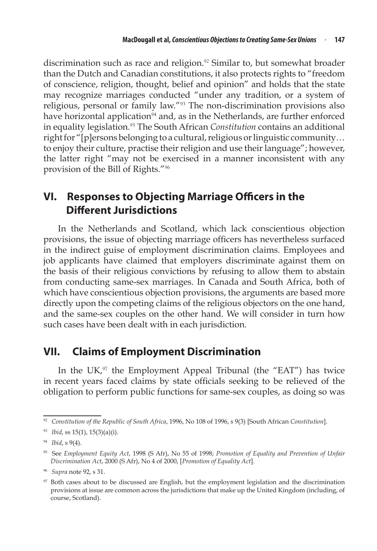discrimination such as race and religion. $92$  Similar to, but somewhat broader than the Dutch and Canadian constitutions, it also protects rights to "freedom of conscience, religion, thought, belief and opinion" and holds that the state may recognize marriages conducted "under any tradition, or a system of religious, personal or family law."<sup>93</sup> The non-discrimination provisions also have horizontal application<sup> $54$ </sup> and, as in the Netherlands, are further enforced in equality legislation.<sup>95</sup> The South African *Constitution* contains an additional right for "[p]ersons belonging to a cultural, religious or linguistic community... to enjoy their culture, practise their religion and use their language"; however, the latter right "may not be exercised in a manner inconsistent with any provision of the Bill of Rights."<sup>96</sup>

# **VI. Responses to Objecting Marriage Officers in the Different Jurisdictions**

In the Netherlands and Scotland, which lack conscientious objection provisions, the issue of objecting marriage officers has nevertheless surfaced in the indirect guise of employment discrimination claims. Employees and job applicants have claimed that employers discriminate against them on the basis of their religious convictions by refusing to allow them to abstain from conducting same-sex marriages. In Canada and South Africa, both of which have conscientious objection provisions, the arguments are based more directly upon the competing claims of the religious objectors on the one hand, and the same-sex couples on the other hand. We will consider in turn how such cases have been dealt with in each jurisdiction.

# **VII. Claims of Employment Discrimination**

In the UK $^{97}$  the Employment Appeal Tribunal (the "EAT") has twice in recent years faced claims by state officials seeking to be relieved of the obligation to perform public functions for same-sex couples, as doing so was

<sup>92</sup> *Constitution of the Republic of South Africa*, 1996, No 108 of 1996, s 9(3) [South African *Constitution*].

<sup>93</sup> *Ibid*, ss 15(1), 15(3)(a)(i).

<sup>94</sup> *Ibid*, s 9(4).

<sup>95</sup> See *Employment Equity Act*, 1998 (S Afr), No 55 of 1998; *Promotion of Equality and Prevention of Unfair Discrimination Act*, 2000 (S Afr), No 4 of 2000, [*Promotion of Equality Act*].

<sup>96</sup> *Supra* note 92, s 31.

<sup>97</sup> Both cases about to be discussed are English, but the employment legislation and the discrimination provisions at issue are common across the jurisdictions that make up the United Kingdom (including, of course, Scotland).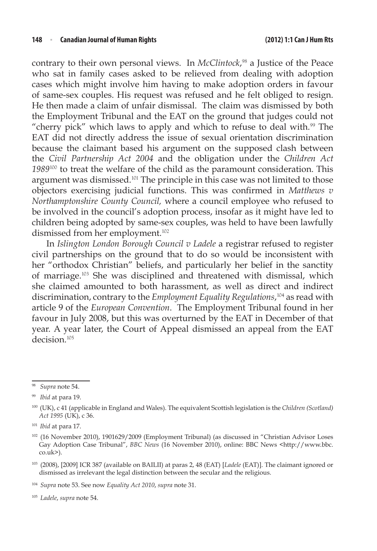contrary to their own personal views. In *McClintock*, <sup>98</sup> a Justice of the Peace who sat in family cases asked to be relieved from dealing with adoption cases which might involve him having to make adoption orders in favour of same-sex couples. His request was refused and he felt obliged to resign. He then made a claim of unfair dismissal. The claim was dismissed by both the Employment Tribunal and the EAT on the ground that judges could not "cherry pick" which laws to apply and which to refuse to deal with.<sup>99</sup> The EAT did not directly address the issue of sexual orientation discrimination because the claimant based his argument on the supposed clash between the *Civil Partnership Act 2004* and the obligation under the *Children Act 1989*<sup>100</sup> to treat the welfare of the child as the paramount consideration. This argument was dismissed.<sup>101</sup> The principle in this case was not limited to those objectors exercising judicial functions. This was confirmed in *Matthews v Northamptonshire County Council,* where a council employee who refused to be involved in the council's adoption process, insofar as it might have led to children being adopted by same-sex couples, was held to have been lawfully dismissed from her employment.<sup>102</sup>

In *Islington London Borough Council v Ladele* a registrar refused to register civil partnerships on the ground that to do so would be inconsistent with her "orthodox Christian" beliefs, and particularly her belief in the sanctity of marriage.<sup>103</sup> She was disciplined and threatened with dismissal, which she claimed amounted to both harassment, as well as direct and indirect discrimination, contrary to the *Employment Equality Regulations*, <sup>104</sup> as read with article 9 of the *European Convention*. The Employment Tribunal found in her favour in July 2008, but this was overturned by the EAT in December of that year. A year later, the Court of Appeal dismissed an appeal from the EAT decision.<sup>105</sup>

Supra note 54.

<sup>99</sup> *Ibid* at para 19.

<sup>100</sup> (UK), c 41 (applicable in England and Wales). The equivalent Scottish legislation is the *Children (Scotland) Act 1995* (UK), c 36.

<sup>101</sup> *Ibid* at para 17.

<sup>102</sup> (16 November 2010), 1901629/2009 (Employment Tribunal) (as discussed in "Christian Advisor Loses Gay Adoption Case Tribunal", *BBC News* (16 November 2010), online: BBC News <http://www.bbc. co.uk>).

<sup>103</sup> (2008), [2009] ICR 387 (available on BAILII) at paras 2, 48 (EAT) [*Ladele* (EAT)]. The claimant ignored or dismissed as irrelevant the legal distinction between the secular and the religious.

<sup>104</sup> *Supra* note 53. See now *Equality Act 2010*, *supra* note 31.

<sup>105</sup> *Ladele*, *supra* note 54.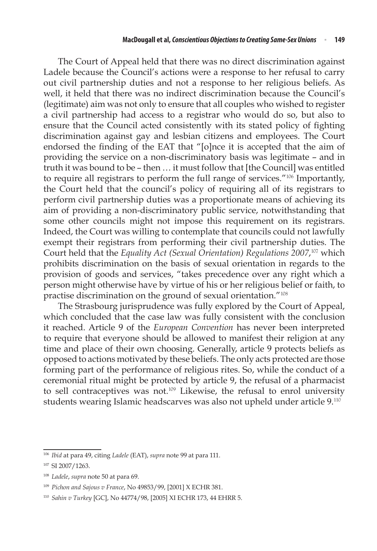The Court of Appeal held that there was no direct discrimination against Ladele because the Council's actions were a response to her refusal to carry out civil partnership duties and not a response to her religious beliefs. As well, it held that there was no indirect discrimination because the Council's (legitimate) aim was not only to ensure that all couples who wished to register a civil partnership had access to a registrar who would do so, but also to ensure that the Council acted consistently with its stated policy of fighting discrimination against gay and lesbian citizens and employees. The Court endorsed the finding of the EAT that "[o]nce it is accepted that the aim of providing the service on a non-discriminatory basis was legitimate – and in truth it was bound to be – then … it must follow that [the Council] was entitled to require all registrars to perform the full range of services."<sup>106</sup> Importantly, the Court held that the council's policy of requiring all of its registrars to perform civil partnership duties was a proportionate means of achieving its aim of providing a non-discriminatory public service, notwithstanding that some other councils might not impose this requirement on its registrars. Indeed, the Court was willing to contemplate that councils could not lawfully exempt their registrars from performing their civil partnership duties. The Court held that the *Equality Act (Sexual Orientation) Regulations 2007*, <sup>107</sup> which prohibits discrimination on the basis of sexual orientation in regards to the provision of goods and services, "takes precedence over any right which a person might otherwise have by virtue of his or her religious belief or faith, to practise discrimination on the ground of sexual orientation."<sup>108</sup>

The Strasbourg jurisprudence was fully explored by the Court of Appeal, which concluded that the case law was fully consistent with the conclusion it reached. Article 9 of the *European Convention* has never been interpreted to require that everyone should be allowed to manifest their religion at any time and place of their own choosing. Generally, article 9 protects beliefs as opposed to actions motivated by these beliefs. The only acts protected are those forming part of the performance of religious rites. So, while the conduct of a ceremonial ritual might be protected by article 9, the refusal of a pharmacist to sell contraceptives was not.<sup>109</sup> Likewise, the refusal to enrol university students wearing Islamic headscarves was also not upheld under article 9.<sup>110</sup>

<sup>106</sup> *Ibid* at para 49, citing *Ladele* (EAT), *supra* note 99 at para 111.

<sup>107</sup> SI 2007/1263.

<sup>108</sup> *Ladele*, *supra* note 50 at para 69.

<sup>109</sup> *Pichon and Sajous v France*, No 49853/99, [2001] X ECHR 381.

<sup>110</sup> *Sahin v Turkey* [GC], No 44774/98, [2005] XI ECHR 173, 44 EHRR 5.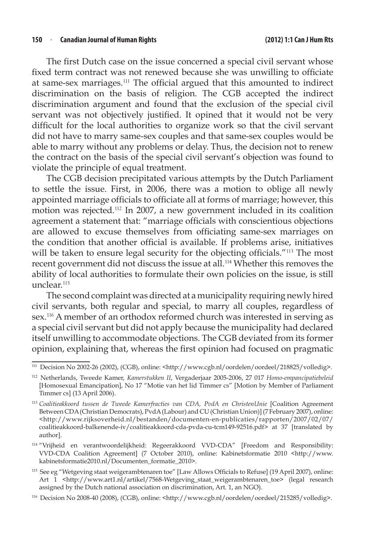The first Dutch case on the issue concerned a special civil servant whose fixed term contract was not renewed because she was unwilling to officiate at same-sex marriages.<sup>111</sup> The official argued that this amounted to indirect discrimination on the basis of religion. The CGB accepted the indirect discrimination argument and found that the exclusion of the special civil servant was not objectively justified. It opined that it would not be very difficult for the local authorities to organize work so that the civil servant did not have to marry same-sex couples and that same-sex couples would be able to marry without any problems or delay. Thus, the decision not to renew the contract on the basis of the special civil servant's objection was found to violate the principle of equal treatment.

The CGB decision precipitated various attempts by the Dutch Parliament to settle the issue. First, in 2006, there was a motion to oblige all newly appointed marriage officials to officiate all at forms of marriage; however, this motion was rejected.<sup>112</sup> In 2007, a new government included in its coalition agreement a statement that: "marriage officials with conscientious objections are allowed to excuse themselves from officiating same-sex marriages on the condition that another official is available. If problems arise, initiatives will be taken to ensure legal security for the objecting officials."<sup>113</sup> The most recent government did not discuss the issue at all.<sup>114</sup> Whether this removes the ability of local authorities to formulate their own policies on the issue, is still unclear.<sup>115</sup>

The second complaint was directed at a municipality requiring newly hired civil servants, both regular and special, to marry all couples, regardless of sex.<sup>116</sup> A member of an orthodox reformed church was interested in serving as a special civil servant but did not apply because the municipality had declared itself unwilling to accommodate objections. The CGB deviated from its former opinion, explaining that, whereas the first opinion had focused on pragmatic

<sup>111</sup> Decision No 2002-26 (2002), (CGB), online: <http://www.cgb.nl/oordelen/oordeel/218825/volledig>.

<sup>112</sup> Netherlands, Tweede Kamer, *Kamerstukken II*, Vergaderjaar 2005-2006, 27 017 *Homo-empancipatiebeleid* [Homosexual Emancipation], No 17 "Motie van het lid Timmer cs" [Motion by Member of Parliament Timmer cs] (13 April 2006).

<sup>113</sup> *Coalitieakkoord tussen de Tweede Kamerfracties van CDA, PvdA en ChristenUnie* [Coalition Agreement Between CDA(ChristianDemocrats), PvdA(Labour) and CU(ChristianUnion)](7 February 2007), online: <http://www.rijksoverheid.nl/bestanden/documenten-en-publicaties/rapporten/2007/02/07/ coalitieakkoord-balkenende-iv/coalitieakkoord-cda-pvda-cu-tcm149-92516.pdf> at 37 [translated by author].

<sup>&</sup>lt;sup>114</sup> "Vrijheid en verantwoordelijkheid: Regeerakkoord VVD-CDA" [Freedom and Responsibility: VVD-CDA Coalition Agreement] (7 October 2010), online: Kabinetsformatie 2010 <http://www. kabinetsformatie2010.nl/Documenten\_formatie\_2010>.

<sup>115</sup> See eg "Wetgeving staat weigerambtenaren toe" [Law Allows Officials to Refuse] (19 April 2007), online: Art 1 <http://www.art1.nl/artikel/7568-Wetgeving\_staat\_weigerambtenaren\_toe> (legal research assigned by the Dutch national association on discrimination, Art. 1, an NGO).

<sup>116</sup> Decision No 2008-40 (2008), (CGB), online: <http://www.cgb.nl/oordelen/oordeel/215285/volledig>.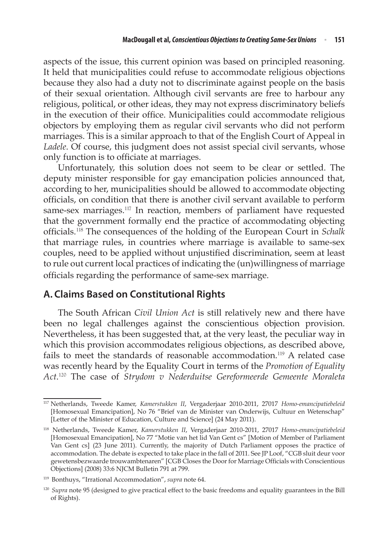aspects of the issue, this current opinion was based on principled reasoning. It held that municipalities could refuse to accommodate religious objections because they also had a duty not to discriminate against people on the basis of their sexual orientation. Although civil servants are free to harbour any religious, political, or other ideas, they may not express discriminatory beliefs in the execution of their office. Municipalities could accommodate religious objectors by employing them as regular civil servants who did not perform marriages. This is a similar approach to that of the English Court of Appeal in *Ladele*. Of course, this judgment does not assist special civil servants, whose only function is to officiate at marriages.

Unfortunately, this solution does not seem to be clear or settled. The deputy minister responsible for gay emancipation policies announced that, according to her, municipalities should be allowed to accommodate objecting officials, on condition that there is another civil servant available to perform same-sex marriages.<sup>117</sup> In reaction, members of parliament have requested that the government formally end the practice of accommodating objecting officials.<sup>118</sup> The consequences of the holding of the European Court in *Schalk* that marriage rules, in countries where marriage is available to same-sex couples, need to be applied without unjustified discrimination, seem at least to rule out current local practices of indicating the (un)willingness of marriage officials regarding the performance of same-sex marriage.

#### **A. Claims Based on Constitutional Rights**

The South African *Civil Union Act* is still relatively new and there have been no legal challenges against the conscientious objection provision. Nevertheless, it has been suggested that, at the very least, the peculiar way in which this provision accommodates religious objections, as described above, fails to meet the standards of reasonable accommodation.<sup>119</sup> A related case was recently heard by the Equality Court in terms of the *Promotion of Equality Act*. <sup>120</sup> The case of *Strydom v Nederduitse Gereformeerde Gemeente Moraleta*

<sup>117</sup> Netherlands, Tweede Kamer, *Kamerstukken II*, Vergaderjaar 2010-2011, 27017 *Homo-emancipatiebeleid* [Homosexual Emancipation], No 76 "Brief van de Minister van Onderwijs, Cultuur en Wetenschap" [Letter of the Minister of Education, Culture and Science] (24 May 2011).

<sup>118</sup> Netherlands, Tweede Kamer, *Kamerstukken II*, Vergaderjaar 2010-2011, 27017 *Homo-emancipatiebeleid* [Homosexual Emancipation], No 77 "Motie van het lid Van Gent cs" [Motion of Member of Parliament Van Gent cs] (23 June 2011). Currently, the majority of Dutch Parliament opposes the practice of accommodation. The debate is expected to take place in the fall of 2011. See JP Loof, "CGB sluit deur voor gewetensbezwaarde trouwambtenaren" [CGB Closes the Door for Marriage Officials with Conscientious Objections] (2008) 33:6 NJCM Bulletin 791 at 799.

<sup>119</sup> Bonthuys, "Irrational Accommodation", *supra* note 64.

<sup>&</sup>lt;sup>120</sup> *Supra* note 95 (designed to give practical effect to the basic freedoms and equality guarantees in the Bill of Rights).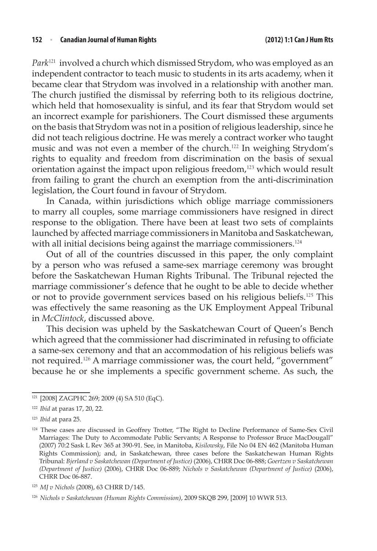*Park*<sup>121</sup> involved a church which dismissed Strydom, who was employed as an independent contractor to teach music to students in its arts academy, when it became clear that Strydom was involved in a relationship with another man. The church justified the dismissal by referring both to its religious doctrine, which held that homosexuality is sinful, and its fear that Strydom would set an incorrect example for parishioners. The Court dismissed these arguments on the basis that Strydom was not in a position of religious leadership, since he did not teach religious doctrine. He was merely a contract worker who taught music and was not even a member of the church.<sup>122</sup> In weighing Strydom's rights to equality and freedom from discrimination on the basis of sexual orientation against the impact upon religious freedom,<sup>123</sup> which would result from failing to grant the church an exemption from the anti-discrimination legislation, the Court found in favour of Strydom.

In Canada, within jurisdictions which oblige marriage commissioners to marry all couples, some marriage commissioners have resigned in direct response to the obligation. There have been at least two sets of complaints launched by affected marriage commissioners in Manitoba and Saskatchewan, with all initial decisions being against the marriage commissioners.<sup>124</sup>

Out of all of the countries discussed in this paper, the only complaint by a person who was refused a same-sex marriage ceremony was brought before the Saskatchewan Human Rights Tribunal. The Tribunal rejected the marriage commissioner's defence that he ought to be able to decide whether or not to provide government services based on his religious beliefs.<sup>125</sup> This was effectively the same reasoning as the UK Employment Appeal Tribunal in *McClintock*, discussed above.

This decision was upheld by the Saskatchewan Court of Queen's Bench which agreed that the commissioner had discriminated in refusing to officiate a same-sex ceremony and that an accommodation of his religious beliefs was not required.<sup>126</sup> A marriage commissioner was, the court held, "government" because he or she implements a specific government scheme. As such, the

<sup>121</sup> [2008] ZAGPHC 269; 2009 (4) SA 510 (EqC).

<sup>122</sup> *Ibid* at paras 17, 20, 22.

<sup>123</sup> *Ibid* at para 25.

<sup>&</sup>lt;sup>124</sup> These cases are discussed in Geoffrey Trotter, "The Right to Decline Performance of Same-Sex Civil Marriages: The Duty to Accommodate Public Servants; A Response to Professor Bruce MacDougall" (2007) 70:2 Sask L Rev 365 at 390-91. See, in Manitoba, *Kisilowsky*, File No 04 EN 462 (Manitoba Human Rights Commission); and, in Saskatchewan, three cases before the Saskatchewan Human Rights Tribunal: *Bjerland v Saskatchewan (Department of Justice)* (2006), CHRR Doc 06-888; *Goertzen v Saskatchewan (Department of Justice)* (2006), CHRR Doc 06-889; *Nichols v Saskatchewan (Department of Justice)* (2006), CHRR Doc 06-887.

<sup>125</sup> *MJ v Nichols* (2008), 63 CHRR D/145.

<sup>126</sup> *Nichols v Saskatchewan (Human Rights Commission)*, 2009 SKQB 299, [2009] 10 WWR 513.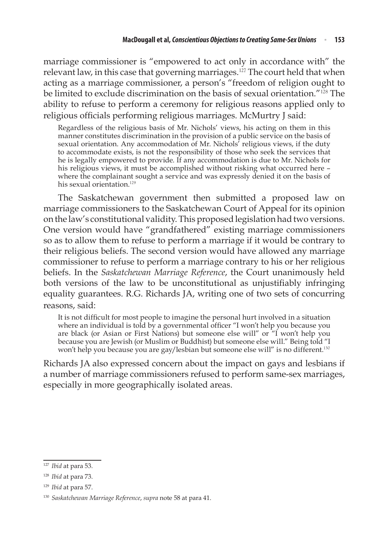marriage commissioner is "empowered to act only in accordance with" the relevant law, in this case that governing marriages.<sup>127</sup> The court held that when acting as a marriage commissioner, a person's "freedom of religion ought to be limited to exclude discrimination on the basis of sexual orientation."<sup>128</sup> The ability to refuse to perform a ceremony for religious reasons applied only to religious officials performing religious marriages. McMurtry J said:

Regardless of the religious basis of Mr. Nichols' views, his acting on them in this manner constitutes discrimination in the provision of a public service on the basis of sexual orientation. Any accommodation of Mr. Nichols' religious views, if the duty to accommodate exists, is not the responsibility of those who seek the services that he is legally empowered to provide. If any accommodation is due to Mr. Nichols for his religious views, it must be accomplished without risking what occurred here where the complainant sought a service and was expressly denied it on the basis of his sexual orientation.<sup>129</sup>

The Saskatchewan government then submitted a proposed law on marriage commissioners to the Saskatchewan Court of Appeal for its opinion on the law's constitutional validity.This proposedlegislation hadtwo versions. One version would have "grandfathered" existing marriage commissioners so as to allow them to refuse to perform a marriage if it would be contrary to their religious beliefs. The second version would have allowed any marriage commissioner to refuse to perform a marriage contrary to his or her religious beliefs. In the *Saskatchewan Marriage Reference*, the Court unanimously held both versions of the law to be unconstitutional as unjustifiably infringing equality guarantees. R.G. Richards JA, writing one of two sets of concurring reasons, said:

It is not difficult for most people to imagine the personal hurt involved in a situation where an individual is told by a governmental officer "I won't help you because you are black (or Asian or First Nations) but someone else will" or "I won't help you because you are Jewish (or Muslim or Buddhist) but someone else will." Being told "I won't help you because you are gay/lesbian but someone else will" is no different.<sup>130</sup>

Richards JA also expressed concern about the impact on gays and lesbians if a number of marriage commissioners refused to perform same-sex marriages, especially in more geographically isolated areas.

<sup>127</sup> *Ibid* at para 53.

<sup>128</sup> *Ibid* at para 73.

<sup>129</sup> *Ibid* at para 57.

<sup>130</sup> *Saskatchewan Marriage Reference*, *supra* note 58 at para 41.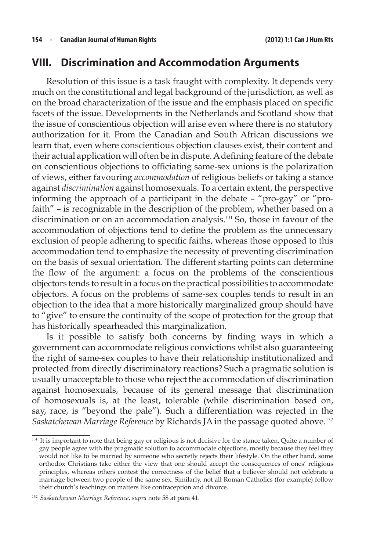#### **VIII. Discrimination and Accommodation Arguments**

Resolution of this issue is a task fraught with complexity. It depends very much on the constitutional and legal background of the jurisdiction, as well as on the broad characterization of the issue and the emphasis placed on specific facets of the issue. Developments in the Netherlands and Scotland show that the issue of conscientious objection will arise even where there is no statutory authorization for it. From the Canadian and South African discussions we learn that, even where conscientious objection clauses exist, their content and their actual application will often be in dispute. A defining feature of the debate on conscientious objections to officiating same-sex unions is the polarization of views, either favouring *accommodation* of religious beliefs or taking a stance against *discrimination* against homosexuals. To a certain extent, the perspective informing the approach of a participant in the debate – "pro-gay" or "profaith" – is recognizable in the description of the problem, whether based on a discrimination or on an accommodation analysis.<sup>131</sup> So, those in favour of the accommodation of objections tend to define the problem as the unnecessary exclusion of people adhering to specific faiths, whereas those opposed to this accommodation tend to emphasize the necessity of preventing discrimination on the basis of sexual orientation. The different starting points can determine the flow of the argument: a focus on the problems of the conscientious objectors tends to result in a focus on the practical possibilities to accommodate objectors. A focus on the problems of same-sex couples tends to result in an objection to the idea that a more historically marginalized group should have to "give" to ensure the continuity of the scope of protection for the group that has historically spearheaded this marginalization.

Is it possible to satisfy both concerns by finding ways in which a government can accommodate religious convictions whilst also guaranteeing the right of same-sex couples to have their relationship institutionalized and protected from directly discriminatory reactions? Such a pragmatic solution is usually unacceptable to those who reject the accommodation of discrimination against homosexuals, because of its general message that discrimination of homosexuals is, at the least, tolerable (while discrimination based on, say, race, is "beyond the pale"). Such a differentiation was rejected in the *Saskatchewan Marriage Reference* by Richards JAin the passage quoted above.<sup>132</sup>

 $131$  It is important to note that being gay or religious is not decisive for the stance taken. Quite a number of gay people agree with the pragmatic solution to accommodate objections, mostly because they feel they would not like to be married by someone who secretly rejects their lifestyle. On the other hand, some orthodox Christians take either the view that one should accept the consequences of ones' religious principles, whereas others contest the correctness of the belief that a believer should not celebrate a marriage between two people of the same sex. Similarly, not all Roman Catholics (for example) follow their church's teachings on matters like contraception and divorce.

<sup>132</sup> *Saskatchewan Marriage Reference*, *supra* note 58 at para 41.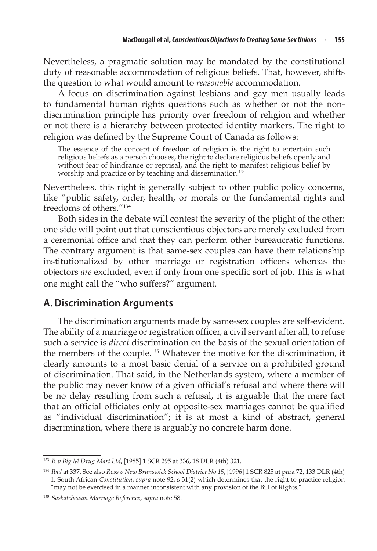Nevertheless, a pragmatic solution may be mandated by the constitutional duty of reasonable accommodation of religious beliefs. That, however, shifts the question to what would amount to *reasonable* accommodation.

A focus on discrimination against lesbians and gay men usually leads to fundamental human rights questions such as whether or not the nondiscrimination principle has priority over freedom of religion and whether or not there is a hierarchy between protected identity markers. The right to religion was defined by the Supreme Court of Canada as follows:

The essence of the concept of freedom of religion is the right to entertain such religious beliefs as a person chooses, the right to declare religious beliefs openly and without fear of hindrance or reprisal, and the right to manifest religious belief by worship and practice or by teaching and dissemination.<sup>133</sup>

Nevertheless, this right is generally subject to other public policy concerns, like "public safety, order, health, or morals or the fundamental rights and freedoms of others."<sup>134</sup>

Both sides in the debate will contest the severity of the plight of the other: one side will point out that conscientious objectors are merely excluded from a ceremonial office and that they can perform other bureaucratic functions. The contrary argument is that same-sex couples can have their relationship institutionalized by other marriage or registration officers whereas the objectors *are* excluded, even if only from one specific sort of job. This is what one might call the "who suffers?" argument.

#### **A. Discrimination Arguments**

The discrimination arguments made by same-sex couples are self-evident. The ability of a marriage or registration officer, a civil servant after all, to refuse such a service is *direct* discrimination on the basis of the sexual orientation of the members of the couple.<sup>135</sup> Whatever the motive for the discrimination, it clearly amounts to a most basic denial of a service on a prohibited ground of discrimination. That said, in the Netherlands system, where a member of the public may never know of a given official's refusal and where there will be no delay resulting from such a refusal, it is arguable that the mere fact that an official officiates only at opposite-sex marriages cannot be qualified as "individual discrimination"; it is at most a kind of abstract, general discrimination, where there is arguably no concrete harm done.

<sup>133</sup> *R v Big M Drug Mart Ltd*, [1985] 1 SCR 295 at 336, 18 DLR (4th) 321.

<sup>134</sup> *Ibid* at 337. See also *Ross v New Brunswick School District No 15*, [1996] 1 SCR 825 at para 72, 133 DLR (4th) 1; South African *Constitution*, *supra* note 92, s 31(2) which determines that the right to practice religion "may not be exercised in a manner inconsistent with any provision of the Bill of Rights."

<sup>135</sup> *Saskatchewan Marriage Reference*, *supra* note 58.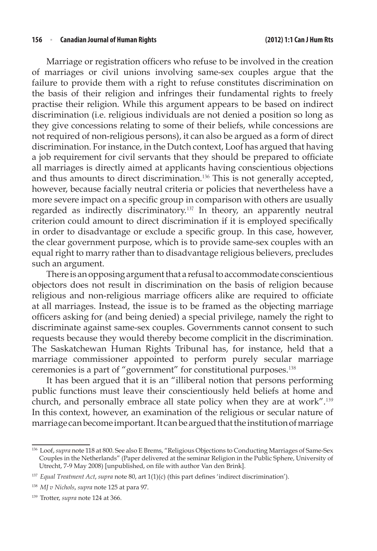#### **156**  <sup>n</sup> **Canadian Journal of Human Rights (2012) 1:1 Can J HumRts**

Marriage or registration officers who refuse to be involved in the creation of marriages or civil unions involving same-sex couples argue that the failure to provide them with a right to refuse constitutes discrimination on the basis of their religion and infringes their fundamental rights to freely practise their religion. While this argument appears to be based on indirect discrimination (i.e. religious individuals are not denied a position so long as they give concessions relating to some of their beliefs, while concessions are not required of non-religious persons), it can also be argued as a form of direct discrimination. For instance, in the Dutch context, Loof has argued that having a job requirement for civil servants that they should be prepared to officiate all marriages is directly aimed at applicants having conscientious objections and thus amounts to direct discrimination.<sup>136</sup> This is not generally accepted, however, because facially neutral criteria or policies that nevertheless have a more severe impact on a specific group in comparison with others are usually regarded as indirectly discriminatory.<sup>137</sup> In theory, an apparently neutral criterion could amount to direct discrimination if it is employed specifically in order to disadvantage or exclude a specific group. In this case, however, the clear government purpose, which is to provide same-sex couples with an equal right to marry rather than to disadvantage religious believers, precludes such an argument.

There is an opposing argument that a refusal to accommodate conscientious objectors does not result in discrimination on the basis of religion because religious and non-religious marriage officers alike are required to officiate at all marriages. Instead, the issue is to be framed as the objecting marriage officers asking for (and being denied) a special privilege, namely the right to discriminate against same-sex couples. Governments cannot consent to such requests because they would thereby become complicit in the discrimination. The Saskatchewan Human Rights Tribunal has, for instance, held that a marriage commissioner appointed to perform purely secular marriage ceremonies is a part of "government" for constitutional purposes.<sup>138</sup>

It has been argued that it is an "illiberal notion that persons performing public functions must leave their conscientiously held beliefs at home and church, and personally embrace all state policy when they are at work".<sup>139</sup> In this context, however, an examination of the religious or secular nature of marriage can become important. It can be argued that the institution of marriage

<sup>136</sup> Loof, *supra* note 118 at 800. See also E Brems, "Religious Objections to Conducting Marriages of Same-Sex Couples in the Netherlands" (Paper delivered at the seminar Religion in the Public Sphere, University of Utrecht, 7-9 May 2008) [unpublished, on file with author Van den Brink].

<sup>137</sup> *Equal Treatment Act*, *supra* note 80, art 1(1)(c) (this part defines 'indirect discrimination').

<sup>138</sup> *MJ v Nichols*, *supra* note 125 at para 97.

<sup>139</sup> Trotter, *supra* note 124 at 366.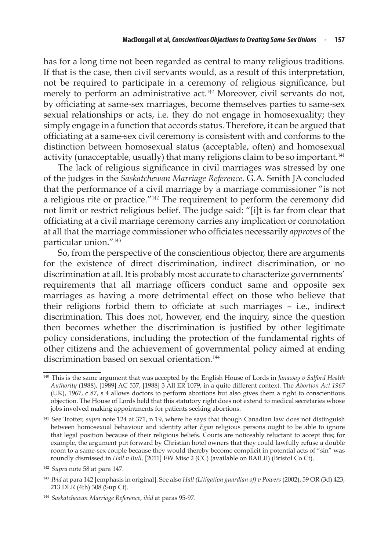has for a long time not been regarded as central to many religious traditions. If that is the case, then civil servants would, as a result of this interpretation, not be required to participate in a ceremony of religious significance, but merely to perform an administrative act.<sup>140</sup> Moreover, civil servants do not, by officiating at same-sex marriages, become themselves parties to same-sex sexual relationships or acts, i.e. they do not engage in homosexuality; they simply engage in a function that accords status. Therefore, it can be argued that officiating at a same-sex civil ceremony is consistent with and conforms to the distinction between homosexual status (acceptable, often) and homosexual activity (unacceptable, usually) that many religions claim to be so important.<sup>141</sup>

The lack of religious significance in civil marriages was stressed by one of the judges in the *Saskatchewan Marriage Reference.* G.A. Smith JA concluded that the performance of a civil marriage by a marriage commissioner "is not a religious rite or practice."<sup>142</sup> The requirement to perform the ceremony did not limit or restrict religious belief. The judge said: "[i]t is far from clear that officiating at a civil marriage ceremony carries any implication or connotation at all that the marriage commissioner who officiates necessarily *approves* of the particular union."<sup>143</sup>

So, from the perspective of the conscientious objector, there are arguments for the existence of direct discrimination, indirect discrimination, or no discrimination at all. It is probably most accurate to characterize governments' requirements that all marriage officers conduct same and opposite sex marriages as having a more detrimental effect on those who believe that their religions forbid them to officiate at such marriages – i.e., indirect discrimination. This does not, however, end the inquiry, since the question then becomes whether the discrimination is justified by other legitimate policy considerations, including the protection of the fundamental rights of other citizens and the achievement of governmental policy aimed at ending discrimination based on sexual orientation.<sup>144</sup>

<sup>140</sup> This is the same argument that was accepted by the English House of Lords in *Janaway v Salford Health Authority* (1988), [1989] AC 537, [1988] 3 All ER 1079, in a quite different context. The *Abortion Act 1967* (UK), 1967, c 87, s 4 allows doctors to perform abortions but also gives them a right to conscientious objection. The House of Lords held that this statutory right does not extend to medical secretaries whose jobs involved making appointments for patients seeking abortions.

<sup>141</sup> See Trotter, *supra* note 124 at 371, n 19, where he says that though Canadian law does not distinguish between homosexual behaviour and identity after *Egan* religious persons ought to be able to ignore that legal position because of their religious beliefs. Courts are noticeably reluctant to accept this; for example, the argument put forward by Christian hotel owners that they could lawfully refuse a double room to a same-sex couple because they would thereby become complicit in potential acts of "sin" was roundly dismissed in *Hall v Bull,* [2011] EW Misc 2 (CC) (available on BAILII) (Bristol Co Ct).

<sup>142</sup> *Supra* note 58 at para 147.

<sup>143</sup> *Ibid* at para 142 [emphasis in original]. See also *Hall (Litigation guardian of) v Powers* (2002), 59 OR (3d) 423, 213 DLR (4th) 308 (Sup Ct).

<sup>144</sup> *Saskatchewan Marriage Reference*, *ibid* at paras 95-97.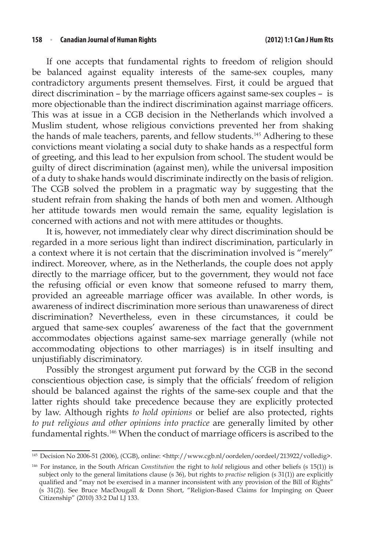If one accepts that fundamental rights to freedom of religion should be balanced against equality interests of the same-sex couples, many contradictory arguments present themselves. First, it could be argued that direct discrimination – by the marriage officers against same-sex couples – is more objectionable than the indirect discrimination against marriage officers. This was at issue in a CGB decision in the Netherlands which involved a Muslim student, whose religious convictions prevented her from shaking the hands of male teachers, parents, and fellow students.<sup>145</sup> Adhering to these convictions meant violating a social duty to shake hands as a respectful form of greeting, and this lead to her expulsion from school. The student would be guilty of direct discrimination (against men), while the universal imposition of a duty to shake hands would discriminate indirectly on the basis ofreligion. The CGB solved the problem in a pragmatic way by suggesting that the student refrain from shaking the hands of both men and women. Although her attitude towards men would remain the same, equality legislation is concerned with actions and not with mere attitudes or thoughts.

It is, however, not immediately clear why direct discrimination should be regarded in a more serious light than indirect discrimination, particularly in a context where it is not certain that the discrimination involved is "merely" indirect. Moreover, where, as in the Netherlands, the couple does not apply directly to the marriage officer, but to the government, they would not face the refusing official or even know that someone refused to marry them, provided an agreeable marriage officer was available. In other words, is awareness of indirect discrimination more serious than unawareness of direct discrimination? Nevertheless, even in these circumstances, it could be argued that same-sex couples' awareness of the fact that the government accommodates objections against same-sex marriage generally (while not accommodating objections to other marriages) is in itself insulting and unjustifiably discriminatory.

Possibly the strongest argument put forward by the CGB in the second conscientious objection case, is simply that the officials' freedom of religion should be balanced against the rights of the same-sex couple and that the latter rights should take precedence because they are explicitly protected by law. Although rights *to hold opinions* or belief are also protected, rights *to put religious and other opinions into practice* are generally limited by other fundamental rights.<sup>146</sup> When the conduct of marriage officers is ascribed to the

<sup>145</sup> Decision No 2006-51 (2006), (CGB), online: <http://www.cgb.nl/oordelen/oordeel/213922/volledig>.

<sup>146</sup> For instance, in the South African *Constitution* the right to *hold* religious and other beliefs (s 15(1)) is subject only to the general limitations clause (s 36), but rights to *practise* religion (s 31(1)) are explicitly qualified and "may not be exercised in a manner inconsistent with any provision of the Bill of Rights" (s 31(2)). See Bruce MacDougall & Donn Short, "Religion-Based Claims for Impinging on Queer Citizenship" (2010) 33:2 Dal LJ 133.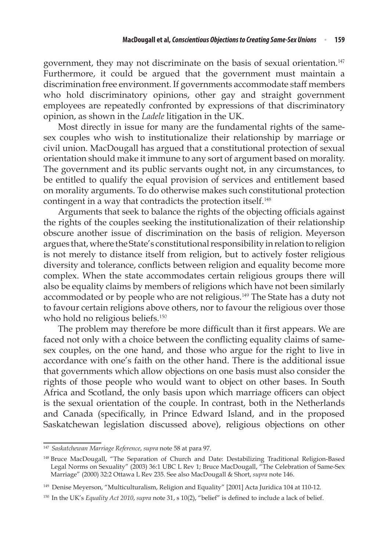government, they may not discriminate on the basis of sexual orientation.<sup>147</sup> Furthermore, it could be argued that the government must maintain a discrimination free environment. If governments accommodate staff members who hold discriminatory opinions, other gay and straight government employees are repeatedly confronted by expressions of that discriminatory opinion, as shown in the *Ladele* litigation in the UK.

Most directly in issue for many are the fundamental rights of the samesex couples who wish to institutionalize their relationship by marriage or civil union. MacDougall has argued that a constitutional protection of sexual orientation should make it immune to any sort of argument based on morality. The government and its public servants ought not, in any circumstances, to be entitled to qualify the equal provision of services and entitlement based on morality arguments. To do otherwise makes such constitutional protection contingent in a way that contradicts the protection itself.<sup>148</sup>

Arguments that seek to balance the rights of the objecting officials against the rights of the couples seeking the institutionalization of their relationship obscure another issue of discrimination on the basis of religion. Meyerson argues that, where the State's constitutionalresponsibility in relation to religion is not merely to distance itself from religion, but to actively foster religious diversity and tolerance, conflicts between religion and equality become more complex. When the state accommodates certain religious groups there will also be equality claims by members of religions which have not been similarly accommodated or by people who are not religious.<sup>149</sup> The State has a duty not to favour certain religions above others, nor to favour the religious over those who hold no religious beliefs.<sup>150</sup>

The problem may therefore be more difficult than it first appears. We are faced not only with a choice between the conflicting equality claims of samesex couples, on the one hand, and those who argue for the right to live in accordance with one's faith on the other hand. There is the additional issue that governments which allow objections on one basis must also consider the rights of those people who would want to object on other bases. In South Africa and Scotland, the only basis upon which marriage officers can object is the sexual orientation of the couple. In contrast, both in the Netherlands and Canada (specifically, in Prince Edward Island, and in the proposed Saskatchewan legislation discussed above), religious objections on other

<sup>147</sup> *Saskatchewan Marriage Reference*, *supra* note 58 at para 97.

<sup>148</sup> Bruce MacDougall, "The Separation of Church and Date: Destabilizing Traditional Religion-Based Legal Norms on Sexuality" (2003) 36:1 UBC L Rev 1; Bruce MacDougall, "The Celebration of Same-Sex Marriage" (2000) 32:2 Ottawa L Rev 235. See also MacDougall & Short, *supra* note 146.

<sup>149</sup> Denise Meyerson, "Multiculturalism, Religion and Equality" [2001] Acta Juridica 104 at 110-12.

<sup>150</sup> In the UK's *Equality Act 2010*, *supra* note 31, s 10(2), "belief" is defined to include a lack of belief.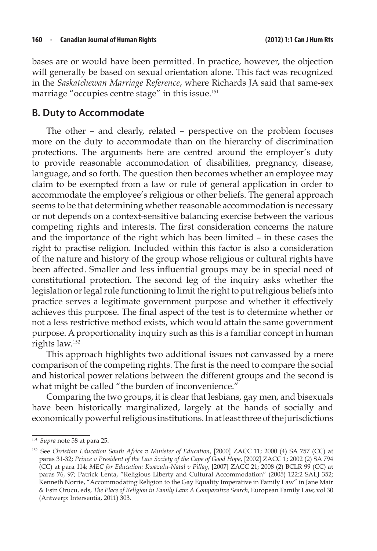bases are or would have been permitted. In practice, however, the objection will generally be based on sexual orientation alone. This fact was recognized in the *Saskatchewan Marriage Reference*, where Richards JA said that same-sex marriage "occupies centre stage" in this issue.<sup>151</sup>

#### **B. Duty to Accommodate**

The other – and clearly, related – perspective on the problem focuses more on the duty to accommodate than on the hierarchy of discrimination protections. The arguments here are centred around the employer's duty to provide reasonable accommodation of disabilities, pregnancy, disease, language, and so forth. The question then becomes whether an employee may claim to be exempted from a law or rule of general application in order to accommodate the employee's religious or other beliefs. The general approach seems to be that determining whether reasonable accommodation is necessary or not depends on a context-sensitive balancing exercise between the various competing rights and interests. The first consideration concerns the nature and the importance of the right which has been limited – in these cases the right to practise religion. Included within this factor is also a consideration of the nature and history of the group whose religious or cultural rights have been affected. Smaller and less influential groups may be in special need of constitutional protection. The second leg of the inquiry asks whether the legislation or legal rule functioning to limit the right to put religious beliefs into practice serves a legitimate government purpose and whether it effectively achieves this purpose. The final aspect of the test is to determine whether or not a less restrictive method exists, which would attain the same government purpose. A proportionality inquiry such as this is a familiar concept in human rights law.<sup>152</sup>

This approach highlights two additional issues not canvassed by a mere comparison of the competing rights. The first is the need to compare the social and historical power relations between the different groups and the second is what might be called "the burden of inconvenience."

Comparing the two groups, it is clear that lesbians, gay men, and bisexuals have been historically marginalized, largely at the hands of socially and economically powerful religious institutions. In at least three of the jurisdictions

<sup>151</sup> *Supra* note 58 at para 25.

<sup>152</sup> See *Christian Education South Africa v Minister of Education*, [2000] ZACC 11; 2000 (4) SA 757 (CC) at paras 31-32; *Prince v President of the Law Society of the Cape of Good Hope*, [2002] ZACC 1; 2002 (2) SA 794 (CC) at para 114; *MEC for Education: Kwazulu-Natal v Pillay*, [2007] ZACC 21; 2008 (2) BCLR 99 (CC) at paras 76, 97; Patrick Lenta, "Religious Liberty and Cultural Accommodation" (2005) 122:2 SALJ 352; Kenneth Norrie, "Accommodating Religion to the Gay Equality Imperative in Family Law" in Jane Mair & Esin Orucu, eds, *The Place of Religion in Family Law: A Comparative Search*, European Family Law, vol 30 (Antwerp: Intersentia, 2011) 303.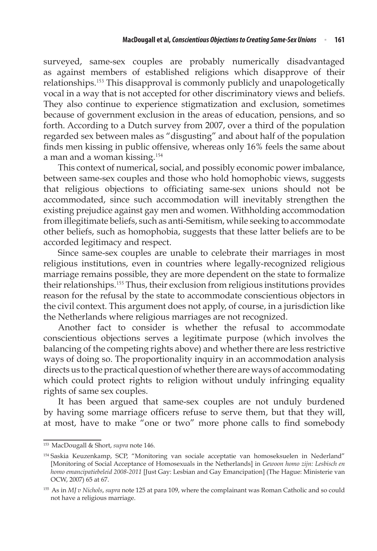surveyed, same-sex couples are probably numerically disadvantaged as against members of established religions which disapprove of their relationships.<sup>153</sup> This disapproval is commonly publicly and unapologetically vocal in a way that is not accepted for other discriminatory views and beliefs. They also continue to experience stigmatization and exclusion, sometimes because of government exclusion in the areas of education, pensions, and so forth. According to a Dutch survey from 2007, over a third of the population regarded sex between males as "disgusting" and about half of the population finds men kissing in public offensive, whereas only 16% feels the same about a man and a woman kissing.<sup>154</sup>

This context of numerical, social, and possibly economic powerimbalance, between same-sex couples and those who hold homophobic views, suggests that religious objections to officiating same-sex unions should not be accommodated, since such accommodation will inevitably strengthen the existing prejudice against gay men and women. Withholding accommodation from illegitimate beliefs, such as anti-Semitism, while seeking to accommodate other beliefs, such as homophobia, suggests that these latter beliefs are to be accorded legitimacy and respect.

Since same-sex couples are unable to celebrate their marriages in most religious institutions, even in countries where legally-recognized religious marriage remains possible, they are more dependent on the state to formalize their relationships.<sup>155</sup> Thus, their exclusion from religious institutions provides reason for the refusal by the state to accommodate conscientious objectors in the civil context. This argument does not apply, of course, in a jurisdiction like the Netherlands where religious marriages are not recognized.

Another fact to consider is whether the refusal to accommodate conscientious objections serves a legitimate purpose (which involves the balancing of the competing rights above) and whether there are less restrictive ways of doing so. The proportionality inquiry in an accommodation analysis directs us to the practical question of whether there are ways of accommodating which could protect rights to religion without unduly infringing equality rights of same sex couples.

It has been argued that same-sex couples are not unduly burdened by having some marriage officers refuse to serve them, but that they will, at most, have to make "one or two" more phone calls to find somebody

<sup>153</sup> MacDougall & Short, *supra* note 146.

<sup>&</sup>lt;sup>154</sup> Saskia Keuzenkamp, SCP, "Monitoring van sociale acceptatie van homoseksuelen in Nederland" [Monitoring of Social Acceptance of Homosexuals in the Netherlands] in *Gewoon homo zijn: Lesbisch en homo emancipatiebeleid 2008-2011* [Just Gay: Lesbian and Gay Emancipation] (The Hague: Ministerie van OCW, 2007) 65 at 67.

<sup>155</sup> As in *MJ v Nichols*, *supra* note 125 at para 109, where the complainant was Roman Catholic and so could not have a religious marriage.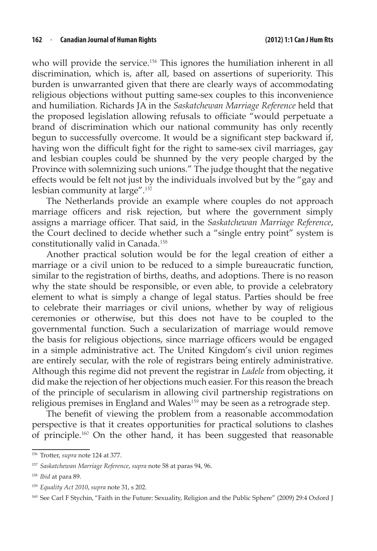who will provide the service.<sup>156</sup> This ignores the humiliation inherent in all discrimination, which is, after all, based on assertions of superiority. This burden is unwarranted given that there are clearly ways of accommodating religious objections without putting same-sex couples to this inconvenience and humiliation. Richards JA in the *Saskatchewan Marriage Reference* held that the proposed legislation allowing refusals to officiate "would perpetuate a brand of discrimination which our national community has only recently begun to successfully overcome. It would be a significant step backward if, having won the difficult fight for the right to same-sex civil marriages, gay and lesbian couples could be shunned by the very people charged by the Province with solemnizing such unions." The judge thought that the negative effects would be felt not just by the individuals involved but by the "gay and lesbian community at large".<sup>157</sup>

The Netherlands provide an example where couples do not approach marriage officers and risk rejection, but where the government simply assigns a marriage officer. That said, in the *Saskatchewan Marriage Reference*, the Court declined to decide whether such a "single entry point" system is constitutionally valid in Canada.<sup>158</sup>

Another practical solution would be for the legal creation of either a marriage or a civil union to be reduced to a simple bureaucratic function, similar to the registration of births, deaths, and adoptions. There is no reason why the state should be responsible, or even able, to provide a celebratory element to what is simply a change of legal status. Parties should be free to celebrate their marriages or civil unions, whether by way of religious ceremonies or otherwise, but this does not have to be coupled to the governmental function. Such a secularization of marriage would remove the basis for religious objections, since marriage officers would be engaged in a simple administrative act. The United Kingdom's civil union regimes are entirely secular, with the role of registrars being entirely administrative. Although this regime did not prevent the registrar in *Ladele* from objecting, it did make the rejection of her objections much easier. For this reason the breach of the principle of secularism in allowing civil partnership registrations on religious premises in England and Wales<sup>159</sup> may be seen as a retrograde step.

The benefit of viewing the problem from a reasonable accommodation perspective is that it creates opportunities for practical solutions to clashes of principle.<sup>160</sup> On the other hand, it has been suggested that reasonable

<sup>156</sup> Trotter, *supra* note 124 at 377.

<sup>157</sup> *Saskatchewan Marriage Reference*, *supra* note 58 at paras 94, 96.

<sup>158</sup> *Ibid* at para 89.

<sup>159</sup> *Equality Act 2010*, *supra* note 31, s 202.

<sup>160</sup> See Carl F Stychin, "Faith in the Future: Sexuality, Religion and the Public Sphere" (2009) 29:4 Oxford J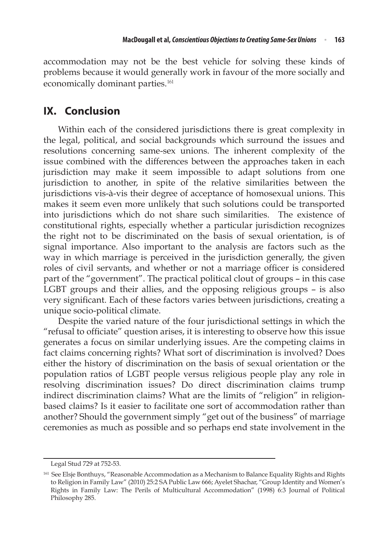accommodation may not be the best vehicle for solving these kinds of problems because it would generally work in favour of the more socially and economically dominant parties.<sup>161</sup>

# **IX. Conclusion**

Within each of the considered jurisdictions there is great complexity in the legal, political, and social backgrounds which surround the issues and resolutions concerning same-sex unions. The inherent complexity of the issue combined with the differences between the approaches taken in each jurisdiction may make it seem impossible to adapt solutions from one jurisdiction to another, in spite of the relative similarities between the jurisdictions vis-à-vis their degree of acceptance of homosexual unions. This makes it seem even more unlikely that such solutions could be transported into jurisdictions which do not share such similarities. The existence of constitutional rights, especially whether a particular jurisdiction recognizes the right not to be discriminated on the basis of sexual orientation, is of signal importance. Also important to the analysis are factors such as the way in which marriage is perceived in the jurisdiction generally, the given roles of civil servants, and whether or not a marriage officer is considered part of the "government". The practical political clout of groups – in this case LGBT groups and their allies, and the opposing religious groups – is also very significant. Each of these factors varies between jurisdictions, creating a unique socio-political climate.

Despite the varied nature of the four jurisdictional settings in which the "refusal to officiate" question arises, it is interesting to observe how this issue generates a focus on similar underlying issues. Are the competing claims in fact claims concerning rights? What sort of discrimination is involved? Does either the history of discrimination on the basis of sexual orientation or the population ratios of LGBT people versus religious people play any role in resolving discrimination issues? Do direct discrimination claims trump indirect discrimination claims? What are the limits of "religion" in religionbased claims? Is it easier to facilitate one sort of accommodation rather than another? Should the government simply "get out of the business" of marriage ceremonies as much as possible and so perhaps end state involvement in the

Legal Stud 729 at 752-53.

<sup>&</sup>lt;sup>161</sup> See Elsje Bonthuys, "Reasonable Accommodation as a Mechanism to Balance Equality Rights and Rights to Religion in Family Law" (2010) 25:2 SA Public Law 666; Ayelet Shachar, "Group Identity and Women's Rights in Family Law: The Perils of Multicultural Accommodation" (1998) 6:3 Journal of Political Philosophy 285.